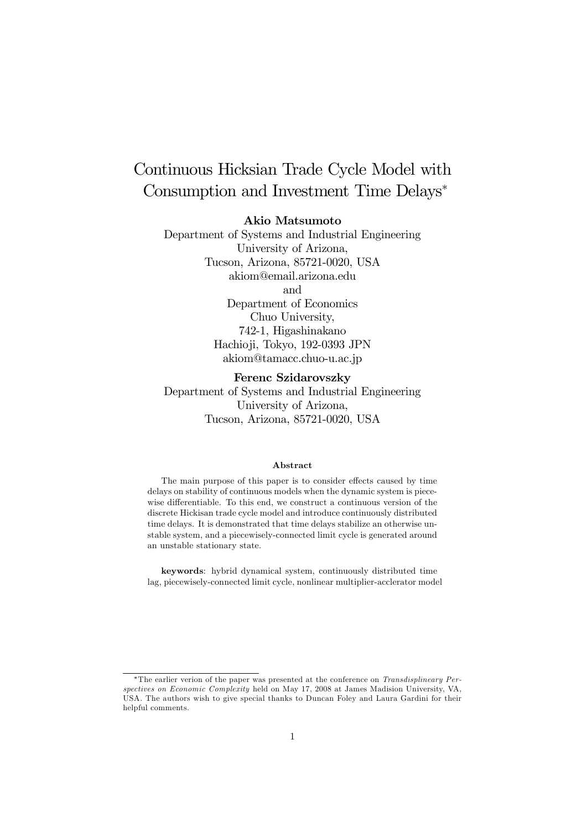# Continuous Hicksian Trade Cycle Model with Consumption and Investment Time Delays<sup>∗</sup>

### Akio Matsumoto

Department of Systems and Industrial Engineering University of Arizona, Tucson, Arizona, 85721-0020, USA akiom@email.arizona.edu and Department of Economics Chuo University, 742-1, Higashinakano Hachioji, Tokyo, 192-0393 JPN akiom@tamacc.chuo-u.ac.jp

### Ferenc Szidarovszky

Department of Systems and Industrial Engineering University of Arizona, Tucson, Arizona, 85721-0020, USA

#### Abstract

The main purpose of this paper is to consider effects caused by time delays on stability of continuous models when the dynamic system is piecewise differentiable. To this end, we construct a continuous version of the discrete Hickisan trade cycle model and introduce continuously distributed time delays. It is demonstrated that time delays stabilize an otherwise unstable system, and a piecewisely-connected limit cycle is generated around an unstable stationary state.

keywords: hybrid dynamical system, continuously distributed time lag, piecewisely-connected limit cycle, nonlinear multiplier-acclerator model

<sup>∗</sup>The earlier verion of the paper was presented at the conference on Transdisplineary Perspectives on Economic Complexity held on May 17, 2008 at James Madision University, VA, USA. The authors wish to give special thanks to Duncan Foley and Laura Gardini for their helpful comments.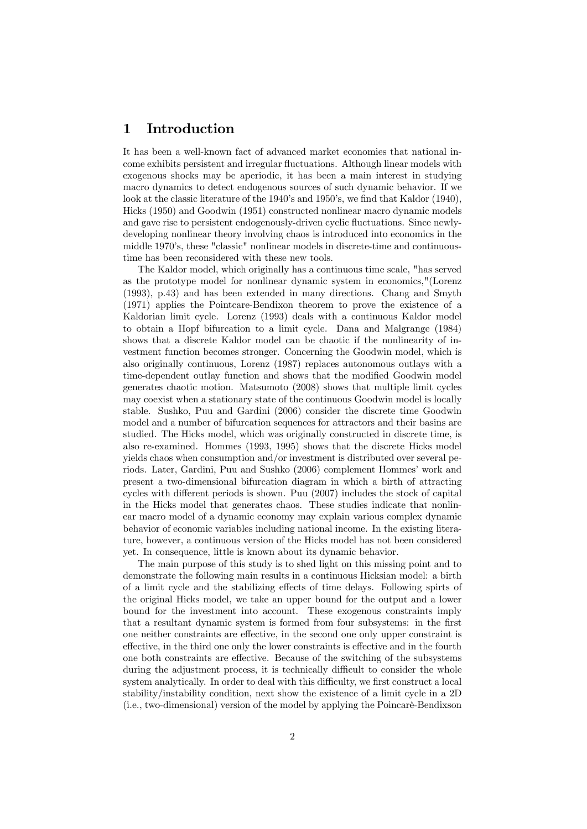### 1 Introduction

It has been a well-known fact of advanced market economies that national income exhibits persistent and irregular fluctuations. Although linear models with exogenous shocks may be aperiodic, it has been a main interest in studying macro dynamics to detect endogenous sources of such dynamic behavior. If we look at the classic literature of the 1940's and 1950's, we find that Kaldor (1940), Hicks (1950) and Goodwin (1951) constructed nonlinear macro dynamic models and gave rise to persistent endogenously-driven cyclic fluctuations. Since newlydeveloping nonlinear theory involving chaos is introduced into economics in the middle 1970's, these "classic" nonlinear models in discrete-time and continuoustime has been reconsidered with these new tools.

The Kaldor model, which originally has a continuous time scale, "has served as the prototype model for nonlinear dynamic system in economics,"(Lorenz (1993), p.43) and has been extended in many directions. Chang and Smyth (1971) applies the Pointcare-Bendixon theorem to prove the existence of a Kaldorian limit cycle. Lorenz (1993) deals with a continuous Kaldor model to obtain a Hopf bifurcation to a limit cycle. Dana and Malgrange (1984) shows that a discrete Kaldor model can be chaotic if the nonlinearity of investment function becomes stronger. Concerning the Goodwin model, which is also originally continuous, Lorenz (1987) replaces autonomous outlays with a time-dependent outlay function and shows that the modified Goodwin model generates chaotic motion. Matsumoto (2008) shows that multiple limit cycles may coexist when a stationary state of the continuous Goodwin model is locally stable. Sushko, Puu and Gardini (2006) consider the discrete time Goodwin model and a number of bifurcation sequences for attractors and their basins are studied. The Hicks model, which was originally constructed in discrete time, is also re-examined. Hommes (1993, 1995) shows that the discrete Hicks model yields chaos when consumption and/or investment is distributed over several periods. Later, Gardini, Puu and Sushko (2006) complement Hommes' work and present a two-dimensional bifurcation diagram in which a birth of attracting cycles with different periods is shown. Puu (2007) includes the stock of capital in the Hicks model that generates chaos. These studies indicate that nonlinear macro model of a dynamic economy may explain various complex dynamic behavior of economic variables including national income. In the existing literature, however, a continuous version of the Hicks model has not been considered yet. In consequence, little is known about its dynamic behavior.

The main purpose of this study is to shed light on this missing point and to demonstrate the following main results in a continuous Hicksian model: a birth of a limit cycle and the stabilizing effects of time delays. Following spirts of the original Hicks model, we take an upper bound for the output and a lower bound for the investment into account. These exogenous constraints imply that a resultant dynamic system is formed from four subsystems: in the first one neither constraints are effective, in the second one only upper constraint is effective, in the third one only the lower constraints is effective and in the fourth one both constraints are effective. Because of the switching of the subsystems during the adjustment process, it is technically difficult to consider the whole system analytically. In order to deal with this difficulty, we first construct a local stability/instability condition, next show the existence of a limit cycle in a 2D (i.e., two-dimensional) version of the model by applying the Poincarè-Bendixson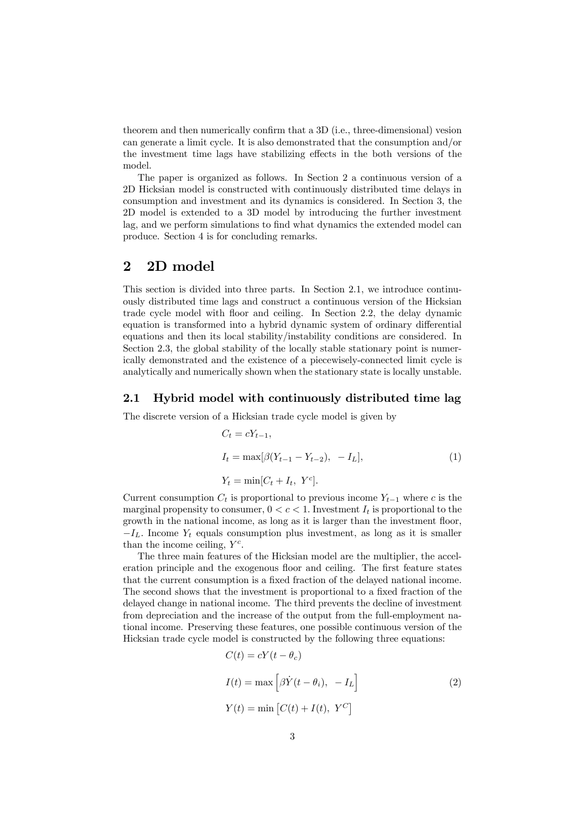theorem and then numerically confirm that a 3D (i.e., three-dimensional) vesion can generate a limit cycle. It is also demonstrated that the consumption and/or the investment time lags have stabilizing effects in the both versions of the model.

The paper is organized as follows. In Section 2 a continuous version of a 2D Hicksian model is constructed with continuously distributed time delays in consumption and investment and its dynamics is considered. In Section 3, the 2D model is extended to a 3D model by introducing the further investment lag, and we perform simulations to find what dynamics the extended model can produce. Section 4 is for concluding remarks.

## 2 2D model

This section is divided into three parts. In Section 2.1, we introduce continuously distributed time lags and construct a continuous version of the Hicksian trade cycle model with floor and ceiling. In Section 2.2, the delay dynamic equation is transformed into a hybrid dynamic system of ordinary differential equations and then its local stability/instability conditions are considered. In Section 2.3, the global stability of the locally stable stationary point is numerically demonstrated and the existence of a piecewisely-connected limit cycle is analytically and numerically shown when the stationary state is locally unstable.

### 2.1 Hybrid model with continuously distributed time lag

The discrete version of a Hicksian trade cycle model is given by

$$
C_t = cY_{t-1},
$$
  
\n
$$
I_t = \max[\beta(Y_{t-1} - Y_{t-2}), -I_L],
$$
  
\n
$$
Y_t = \min[C_t + I_t, Y^c].
$$
\n(1)

Current consumption  $C_t$  is proportional to previous income  $Y_{t-1}$  where c is the marginal propensity to consumer,  $0 < c < 1$ . Investment  $I_t$  is proportional to the growth in the national income, as long as it is larger than the investment floor,  $-I<sub>L</sub>$ . Income  $Y<sub>t</sub>$  equals consumption plus investment, as long as it is smaller than the income ceiling,  $Y^c$ .

The three main features of the Hicksian model are the multiplier, the acceleration principle and the exogenous floor and ceiling. The first feature states that the current consumption is a fixed fraction of the delayed national income. The second shows that the investment is proportional to a fixed fraction of the delayed change in national income. The third prevents the decline of investment from depreciation and the increase of the output from the full-employment national income. Preserving these features, one possible continuous version of the Hicksian trade cycle model is constructed by the following three equations:

$$
C(t) = cY(t - \theta_c)
$$
  
\n
$$
I(t) = \max \left[ \beta \dot{Y}(t - \theta_i), -I_L \right]
$$
  
\n
$$
Y(t) = \min \left[ C(t) + I(t), Y^C \right]
$$
\n(2)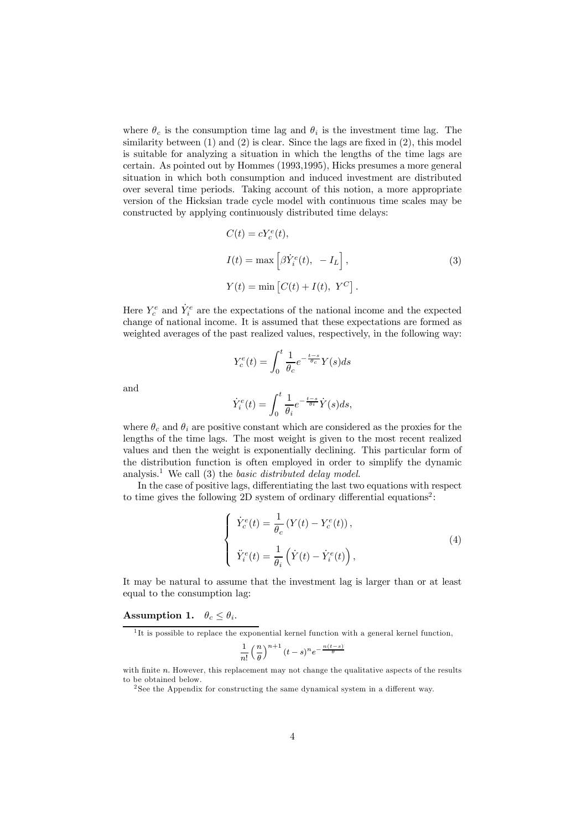where  $\theta_c$  is the consumption time lag and  $\theta_i$  is the investment time lag. The similarity between (1) and (2) is clear. Since the lags are fixed in (2), this model is suitable for analyzing a situation in which the lengths of the time lags are certain. As pointed out by Hommes (1993,1995), Hicks presumes a more general situation in which both consumption and induced investment are distributed over several time periods. Taking account of this notion, a more appropriate version of the Hicksian trade cycle model with continuous time scales may be constructed by applying continuously distributed time delays:

$$
C(t) = cY_c^e(t),
$$
  
\n
$$
I(t) = \max \left[ \beta \dot{Y}_i^e(t), -I_L \right],
$$
  
\n
$$
Y(t) = \min \left[ C(t) + I(t), Y^C \right].
$$
\n(3)

Here  $Y_c^e$  and  $\dot{Y}_i^e$  are the expectations of the national income and the expected change of national income. It is assumed that these expectations are formed as weighted averages of the past realized values, respectively, in the following way:

$$
Y_c^e(t) = \int_0^t \frac{1}{\theta_c} e^{-\frac{t-s}{\theta_c}} Y(s) ds
$$

and

$$
\dot{Y}_i^e(t) = \int_0^t \frac{1}{\theta_i} e^{-\frac{t-s}{\theta_i}} \dot{Y}(s) ds,
$$

where  $\theta_c$  and  $\theta_i$  are positive constant which are considered as the proxies for the lengths of the time lags. The most weight is given to the most recent realized values and then the weight is exponentially declining. This particular form of the distribution function is often employed in order to simplify the dynamic analysis.<sup>1</sup> We call (3) the *basic distributed delay model*.

In the case of positive lags, differentiating the last two equations with respect to time gives the following 2D system of ordinary differential equations<sup>2</sup>:

$$
\begin{cases}\n\dot{Y}_c^e(t) = \frac{1}{\theta_c} \left( Y(t) - Y_c^e(t) \right), \\
\ddot{Y}_i^e(t) = \frac{1}{\theta_i} \left( \dot{Y}(t) - \dot{Y}_i^e(t) \right),\n\end{cases} \tag{4}
$$

It may be natural to assume that the investment lag is larger than or at least equal to the consumption lag:

#### Assumption 1.  $\theta_c \leq \theta_i$ .

$$
\frac{1}{n!} \left(\frac{n}{\theta}\right)^{n+1} (t-s)^n e^{-\frac{n(t-s)}{\theta}}
$$

 $1$ <sup>1</sup>It is possible to replace the exponential kernel function with a general kernel function,

with finite n. However, this replacement may not change the qualitative aspects of the results to be obtained below.

<sup>2</sup> See the Appendix for constructing the same dynamical system in a different way.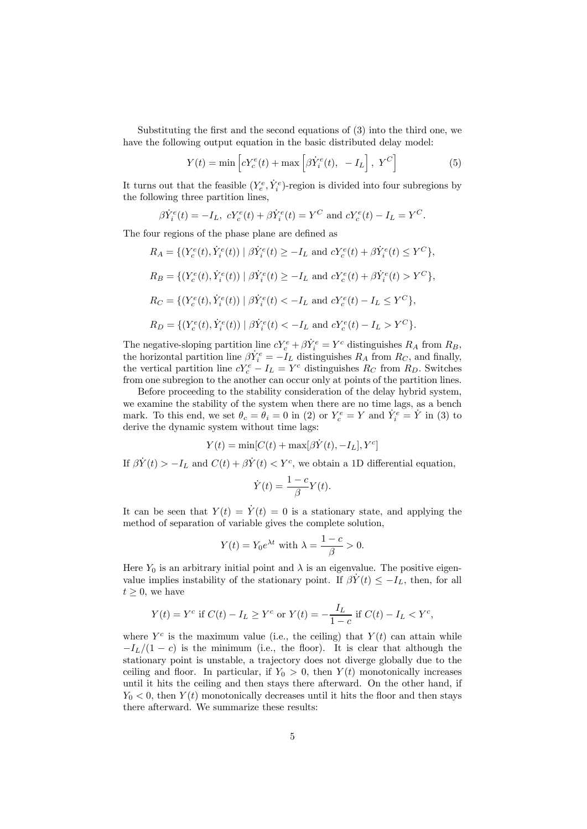Substituting the first and the second equations of (3) into the third one, we have the following output equation in the basic distributed delay model:

$$
Y(t) = \min\left[cY_c^e(t) + \max\left[\beta \dot{Y}_i^e(t), -I_L\right], Y^C\right]
$$
 (5)

It turns out that the feasible  $(Y_e^e, \dot{Y}_i^e)$ -region is divided into four subregions by the following three partition lines,

$$
\beta \dot{Y}_i^e(t) = -I_L
$$
,  $cY_c^e(t) + \beta \dot{Y}_i^e(t) = Y^C$  and  $cY_c^e(t) - I_L = Y^C$ .

The four regions of the phase plane are defined as

 $R_A = \{ (Y_c^e(t), \dot{Y}_i^e(t)) \mid \beta \dot{Y}_i^e(t) \ge -I_L \text{ and } cY_c^e(t) + \beta \dot{Y}_i^e(t) \le Y^C \},$  $R_B = \{ (Y_c^e(t), \dot{Y}_i^e(t)) \mid \beta \dot{Y}_i^e(t) \ge -I_L \text{ and } cY_c^e(t) + \beta \dot{Y}_i^e(t) > Y^C \},$  $R_C = \{ (Y_c^e(t), \dot{Y}_i^e(t)) \mid \beta \dot{Y}_i^e(t) < -I_L \text{ and } cY_c^e(t) - I_L \leq Y^C \},\$  $R_D = \{ (Y_c^e(t), \dot{Y}_i^e(t)) \mid \beta \dot{Y}_i^e(t) < -I_L \text{ and } cY_c^e(t) - I_L > Y^C \}.$ 

The negative-sloping partition line  $cY_c^e + \beta \dot{Y}_i^e = Y^c$  distinguishes  $R_A$  from  $R_B$ , the horizontal partition line  $\beta Y_i^e = -I_L$  distinguishes  $R_A$  from  $R_C$ , and finally, the vertical partition line  $cY_c^e - I_L = Y^c$  distinguishes  $R_C$  from  $R_D$ . Switches from one subregion to the another can occur only at points of the partition lines.

Before proceeding to the stability consideration of the delay hybrid system, we examine the stability of the system when there are no time lags, as a bench mark. To this end, we set  $\theta_c = \theta_i = 0$  in (2) or  $Y_c^e = Y$  and  $\dot{Y}_i^e = \dot{Y}$  in (3) to derive the dynamic system without time lags:

$$
Y(t) = \min[C(t) + \max[\beta \dot{Y}(t), -I_L], Y^c]
$$

If  $\beta \dot{Y}(t) > -I_L$  and  $C(t) + \beta \dot{Y}(t) < Y^c$ , we obtain a 1D differential equation.

$$
\dot{Y}(t) = \frac{1 - c}{\beta} Y(t).
$$

It can be seen that  $Y(t) = \dot{Y}(t) = 0$  is a stationary state, and applying the method of separation of variable gives the complete solution,

$$
Y(t) = Y_0 e^{\lambda t} \text{ with } \lambda = \frac{1 - c}{\beta} > 0.
$$

Here  $Y_0$  is an arbitrary initial point and  $\lambda$  is an eigenvalue. The positive eigenvalue implies instability of the stationary point. If  $\beta Y(t) \leq -I_L$ , then, for all  $t \geq 0$ , we have

$$
Y(t) = Y^{c} \text{ if } C(t) - I_{L} \geq Y^{c} \text{ or } Y(t) = -\frac{I_{L}}{1 - c} \text{ if } C(t) - I_{L} < Y^{c},
$$

where  $Y^c$  is the maximum value (i.e., the ceiling) that  $Y(t)$  can attain while  $-I_L/(1-c)$  is the minimum (i.e., the floor). It is clear that although the stationary point is unstable, a trajectory does not diverge globally due to the ceiling and floor. In particular, if  $Y_0 > 0$ , then  $Y(t)$  monotonically increases until it hits the ceiling and then stays there afterward. On the other hand, if  $Y_0 < 0$ , then  $Y(t)$  monotonically decreases until it hits the floor and then stays there afterward. We summarize these results: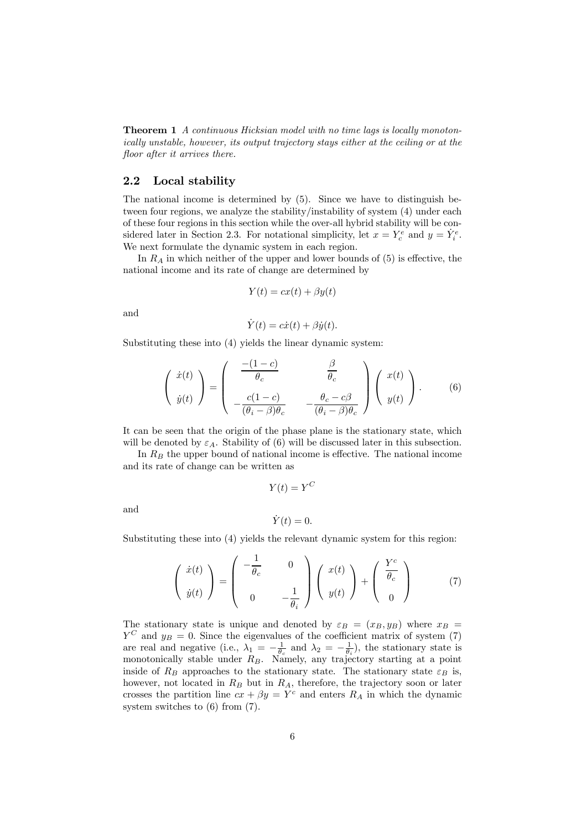Theorem 1 A continuous Hicksian model with no time lags is locally monotonically unstable, however, its output trajectory stays either at the ceiling or at the floor after it arrives there.

### 2.2 Local stability

The national income is determined by (5). Since we have to distinguish between four regions, we analyze the stability/instability of system (4) under each of these four regions in this section while the over-all hybrid stability will be considered later in Section 2.3. For notational simplicity, let  $x = Y_c^e$  and  $y = \dot{Y}_i^e$ . We next formulate the dynamic system in each region.

In  $R_A$  in which neither of the upper and lower bounds of  $(5)$  is effective, the national income and its rate of change are determined by

$$
Y(t) = cx(t) + \beta y(t)
$$

and

$$
\dot{Y}(t) = c\dot{x}(t) + \beta \dot{y}(t).
$$

Substituting these into (4) yields the linear dynamic system:

$$
\begin{pmatrix}\n\dot{x}(t) \\
\dot{y}(t)\n\end{pmatrix} = \begin{pmatrix}\n\frac{-(1-c)}{\theta_c} & \frac{\beta}{\theta_c} \\
-\frac{c(1-c)}{(\theta_i - \beta)\theta_c} & -\frac{\theta_c - c\beta}{(\theta_i - \beta)\theta_c}\n\end{pmatrix} \begin{pmatrix}\nx(t) \\
y(t)\n\end{pmatrix}.
$$
\n(6)

It can be seen that the origin of the phase plane is the stationary state, which will be denoted by  $\varepsilon_A$ . Stability of (6) will be discussed later in this subsection.

In  $R_B$  the upper bound of national income is effective. The national income and its rate of change can be written as

and

$$
\dot{Y}(t) = 0.
$$

 $Y(t) = Y^C$ 

Substituting these into (4) yields the relevant dynamic system for this region:

$$
\begin{pmatrix} \dot{x}(t) \\ \dot{y}(t) \end{pmatrix} = \begin{pmatrix} -\frac{1}{\theta_c} & 0 \\ 0 & -\frac{1}{\theta_i} \end{pmatrix} \begin{pmatrix} x(t) \\ y(t) \end{pmatrix} + \begin{pmatrix} \frac{Y^c}{\theta_c} \\ 0 \end{pmatrix}
$$
(7)

The stationary state is unique and denoted by  $\varepsilon_B = (x_B, y_B)$  where  $x_B =$  $Y^C$  and  $y_B = 0$ . Since the eigenvalues of the coefficient matrix of system (7) are real and negative (i.e.,  $\lambda_1 = -\frac{1}{\theta_c}$  and  $\lambda_2 = -\frac{1}{\theta_i}$ ), the stationary state is monotonically stable under  $R_B$ . Namely, any trajectory starting at a point inside of  $R_B$  approaches to the stationary state. The stationary state  $\varepsilon_B$  is, however, not located in  $R_B$  but in  $R_A$ , therefore, the trajectory soon or later crosses the partition line  $cx + \beta y = Y^c$  and enters  $R_A$  in which the dynamic system switches to (6) from (7).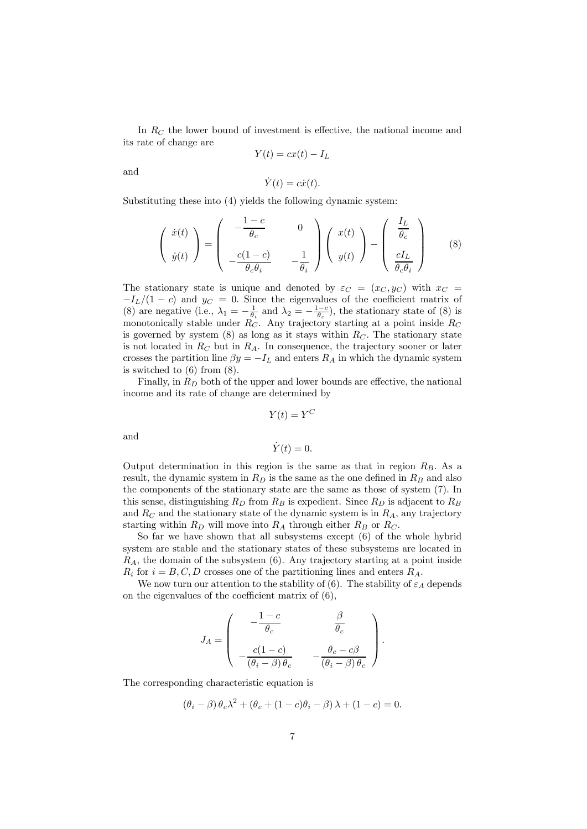In  $R_C$  the lower bound of investment is effective, the national income and its rate of change are

$$
Y(t) = cx(t) - I_L
$$

and

$$
\dot{Y}(t) = c\dot{x}(t).
$$

Substituting these into (4) yields the following dynamic system:

$$
\begin{pmatrix}\n\dot{x}(t) \\
\dot{y}(t)\n\end{pmatrix} = \begin{pmatrix}\n-\frac{1-c}{\theta_c} & 0 \\
-\frac{c(1-c)}{\theta_c \theta_i} & -\frac{1}{\theta_i}\n\end{pmatrix} \begin{pmatrix}\nx(t) \\
y(t)\n\end{pmatrix} - \begin{pmatrix}\n\frac{I_L}{\theta_c} \\
\frac{cI_L}{\theta_c \theta_i}\n\end{pmatrix}
$$
\n(8)

The stationary state is unique and denoted by  $\varepsilon_C = (x_C, y_C)$  with  $x_C =$  $-I_L/(1 - c)$  and  $y_C = 0$ . Since the eigenvalues of the coefficient matrix of (8) are negative (i.e.,  $\lambda_1 = -\frac{1}{\theta_i}$  and  $\lambda_2 = -\frac{1-c}{\theta_c}$ ), the stationary state of (8) is monotonically stable under  $R_C$ . Any trajectory starting at a point inside  $R_C$ is governed by system  $(8)$  as long as it stays within  $R<sub>C</sub>$ . The stationary state is not located in  $R_C$  but in  $R_A$ . In consequence, the trajectory sooner or later crosses the partition line  $\beta y = -I_L$  and enters  $R_A$  in which the dynamic system is switched to (6) from (8).

Finally, in  $R_D$  both of the upper and lower bounds are effective, the national income and its rate of change are determined by

$$
Y(t) = Y^C
$$

and

$$
\dot{Y}(t) = 0.
$$

Output determination in this region is the same as that in region  $R_B$ . As a result, the dynamic system in  $R_D$  is the same as the one defined in  $R_B$  and also the components of the stationary state are the same as those of system (7). In this sense, distinguishing  $R_D$  from  $R_B$  is expedient. Since  $R_D$  is adjacent to  $R_B$ and  $R_C$  and the stationary state of the dynamic system is in  $R_A$ , any trajectory starting within  $R_D$  will move into  $R_A$  through either  $R_B$  or  $R_C$ .

So far we have shown that all subsystems except (6) of the whole hybrid system are stable and the stationary states of these subsystems are located in  $R_A$ , the domain of the subsystem  $(6)$ . Any trajectory starting at a point inside  $R_i$  for  $i = B, C, D$  crosses one of the partitioning lines and enters  $R_A$ .

We now turn our attention to the stability of (6). The stability of  $\varepsilon_A$  depends on the eigenvalues of the coefficient matrix of (6),

$$
J_A = \begin{pmatrix} -\frac{1-c}{\theta_c} & \frac{\beta}{\theta_c} \\ -\frac{c(1-c)}{(\theta_i - \beta)\theta_c} & -\frac{\theta_c - c\beta}{(\theta_i - \beta)\theta_c} \end{pmatrix}.
$$

The corresponding characteristic equation is

$$
(\theta_i - \beta)\theta_c\lambda^2 + (\theta_c + (1 - c)\theta_i - \beta)\lambda + (1 - c) = 0.
$$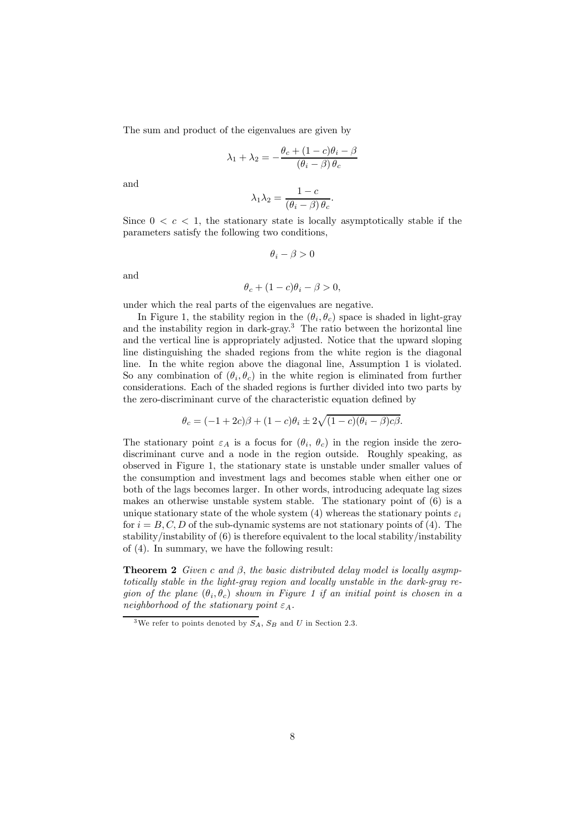The sum and product of the eigenvalues are given by

$$
\lambda_1 + \lambda_2 = -\frac{\theta_c + (1 - c)\theta_i - \beta}{(\theta_i - \beta)\theta_c}
$$

and

$$
\lambda_1 \lambda_2 = \frac{1 - c}{(\theta_i - \beta) \theta_c}.
$$

Since  $0 < c < 1$ , the stationary state is locally asymptotically stable if the parameters satisfy the following two conditions,

$$
\theta_i - \beta > 0
$$

and

$$
\theta_c + (1 - c)\theta_i - \beta > 0,
$$

under which the real parts of the eigenvalues are negative.

In Figure 1, the stability region in the  $(\theta_i, \theta_c)$  space is shaded in light-gray and the instability region in dark-gray.<sup>3</sup> The ratio between the horizontal line and the vertical line is appropriately adjusted. Notice that the upward sloping line distinguishing the shaded regions from the white region is the diagonal line. In the white region above the diagonal line, Assumption 1 is violated. So any combination of  $(\theta_i, \theta_c)$  in the white region is eliminated from further considerations. Each of the shaded regions is further divided into two parts by the zero-discriminant curve of the characteristic equation defined by

$$
\theta_c = (-1 + 2c)\beta + (1 - c)\theta_i \pm 2\sqrt{(1 - c)(\theta_i - \beta)c\beta}.
$$

The stationary point  $\varepsilon_A$  is a focus for  $(\theta_i, \theta_c)$  in the region inside the zerodiscriminant curve and a node in the region outside. Roughly speaking, as observed in Figure 1, the stationary state is unstable under smaller values of the consumption and investment lags and becomes stable when either one or both of the lags becomes larger. In other words, introducing adequate lag sizes makes an otherwise unstable system stable. The stationary point of (6) is a unique stationary state of the whole system (4) whereas the stationary points  $\varepsilon_i$ for  $i = B, C, D$  of the sub-dynamic systems are not stationary points of (4). The stability/instability of (6) is therefore equivalent to the local stability/instability of (4). In summary, we have the following result:

**Theorem 2** Given c and  $\beta$ , the basic distributed delay model is locally asymptotically stable in the light-gray region and locally unstable in the dark-gray region of the plane  $(\theta_i, \theta_c)$  shown in Figure 1 if an initial point is chosen in a neighborhood of the stationary point  $\varepsilon_A$ .

<sup>&</sup>lt;sup>3</sup>We refer to points denoted by  $S_A$ ,  $S_B$  and U in Section 2.3.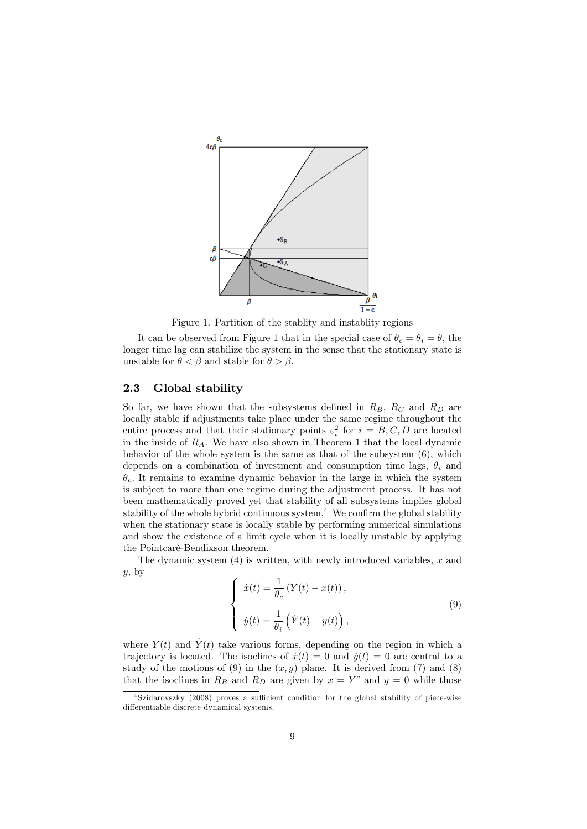

Figure 1. Partition of the stablity and instablity regions

It can be observed from Figure 1 that in the special case of  $\theta_c = \theta_i = \theta$ , the longer time lag can stabilize the system in the sense that the stationary state is unstable for  $\theta < \beta$  and stable for  $\theta > \beta$ .

### 2.3 Global stability

So far, we have shown that the subsystems defined in  $R_B$ ,  $R_C$  and  $R_D$  are locally stable if adjustments take place under the same regime throughout the entire process and that their stationary points  $\varepsilon_i^2$  for  $i = B, C, D$  are located in the inside of  $R_A$ . We have also shown in Theorem 1 that the local dynamic behavior of the whole system is the same as that of the subsystem (6), which depends on a combination of investment and consumption time lags,  $\theta_i$  and  $\theta_c$ . It remains to examine dynamic behavior in the large in which the system is subject to more than one regime during the adjustment process. It has not been mathematically proved yet that stability of all subsystems implies global stability of the whole hybrid continuous system.<sup>4</sup> We confirm the global stability when the stationary state is locally stable by performing numerical simulations and show the existence of a limit cycle when it is locally unstable by applying the Pointcarè-Bendixson theorem.

The dynamic system  $(4)$  is written, with newly introduced variables, x and  $y$ , by

$$
\begin{cases}\n\dot{x}(t) = \frac{1}{\theta_c} \left( Y(t) - x(t) \right), \\
\dot{y}(t) = \frac{1}{\theta_i} \left( \dot{Y}(t) - y(t) \right),\n\end{cases} \tag{9}
$$

where  $Y(t)$  and  $\dot{Y}(t)$  take various forms, depending on the region in which a trajectory is located. The isoclines of  $\dot{x}(t)=0$  and  $\dot{y}(t)=0$  are central to a study of the motions of  $(9)$  in the  $(x, y)$  plane. It is derived from  $(7)$  and  $(8)$ that the isoclines in  $R_B$  and  $R_D$  are given by  $x = Y^c$  and  $y = 0$  while those

<sup>4</sup> Szidarovszky (2008) proves a sufficient condition for the global stability of piece-wise differentiable discrete dynamical systems.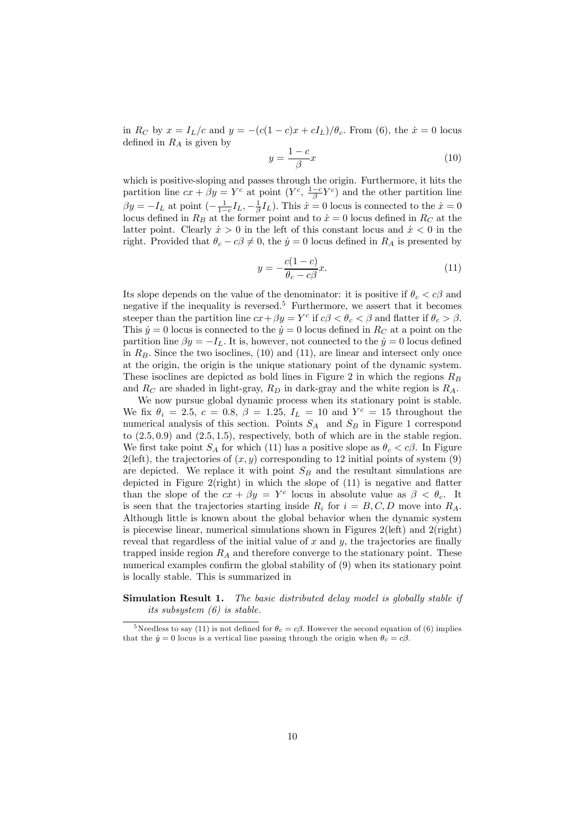in  $R_C$  by  $x = I_L/c$  and  $y = -(c(1-c)x + cI_L)/\theta_c$ . From (6), the  $\dot{x} = 0$  locus defined in  $R_A$  is given by

$$
y = \frac{1 - c}{\beta}x\tag{10}
$$

which is positive-sloping and passes through the origin. Furthermore, it hits the partition line  $cx + \beta y = Y^c$  at point  $(Y^c, \frac{1-c}{\beta}Y^c)$  and the other partition line  $\beta y = -I_L$  at point  $\left(-\frac{1}{1-c}I_L, -\frac{1}{\beta}I_L\right)$ . This  $\dot{x} = 0$  locus is connected to the  $\dot{x} = 0$ locus defined in  $R_B$  at the former point and to  $\dot{x} = 0$  locus defined in  $R_C$  at the latter point. Clearly  $\dot{x} > 0$  in the left of this constant locus and  $\dot{x} < 0$  in the right. Provided that  $\theta_c - c\beta \neq 0$ , the  $\dot{y} = 0$  locus defined in  $R_A$  is presented by

$$
y = -\frac{c(1-c)}{\theta_c - c\beta}x.\tag{11}
$$

Its slope depends on the value of the denominator: it is positive if  $\theta_c < c\beta$  and negative if the inequality is reversed.<sup>5</sup> Furthermore, we assert that it becomes steeper than the partition line  $cx + \beta y = Y^c$  if  $c\beta < \theta_c < \beta$  and flatter if  $\theta_c > \beta$ . This  $\dot{y} = 0$  locus is connected to the  $\dot{y} = 0$  locus defined in  $R_C$  at a point on the partition line  $\beta y = -I_L$ . It is, however, not connected to the  $\dot{y} = 0$  locus defined in  $R_B$ . Since the two isoclines, (10) and (11), are linear and intersect only once at the origin, the origin is the unique stationary point of the dynamic system. These isoclines are depicted as bold lines in Figure 2 in which the regions  $R_B$ and  $R_C$  are shaded in light-gray,  $R_D$  in dark-gray and the white region is  $R_A$ .

We now pursue global dynamic process when its stationary point is stable. We fix  $\theta_i = 2.5, c = 0.8, \beta = 1.25, I_L = 10$  and  $Y^c = 15$  throughout the numerical analysis of this section. Points  $S_A$  and  $S_B$  in Figure 1 correspond to  $(2.5, 0.9)$  and  $(2.5, 1.5)$ , respectively, both of which are in the stable region. We first take point  $S_A$  for which (11) has a positive slope as  $\theta_c < c\beta$ . In Figure  $2(\text{left})$ , the trajectories of  $(x, y)$  corresponding to 12 initial points of system (9) are depicted. We replace it with point  $S_B$  and the resultant simulations are depicted in Figure  $2$ (right) in which the slope of  $(11)$  is negative and flatter than the slope of the  $cx + \beta y = Y^c$  locus in absolute value as  $\beta < \theta_c$ . It is seen that the trajectories starting inside  $R_i$  for  $i = B, C, D$  move into  $R_A$ . Although little is known about the global behavior when the dynamic system is piecewise linear, numerical simulations shown in Figures 2(left) and 2(right) reveal that regardless of the initial value of  $x$  and  $y$ , the trajectories are finally trapped inside region  $R_A$  and therefore converge to the stationary point. These numerical examples confirm the global stability of (9) when its stationary point is locally stable. This is summarized in

Simulation Result 1. The basic distributed delay model is globally stable if its subsystem (6) is stable.

<sup>&</sup>lt;sup>5</sup>Needless to say (11) is not defined for  $\theta_c = c\beta$ . However the second equation of (6) implies that the  $\dot{y} = 0$  locus is a vertical line passing through the origin when  $\theta_c = c\beta$ .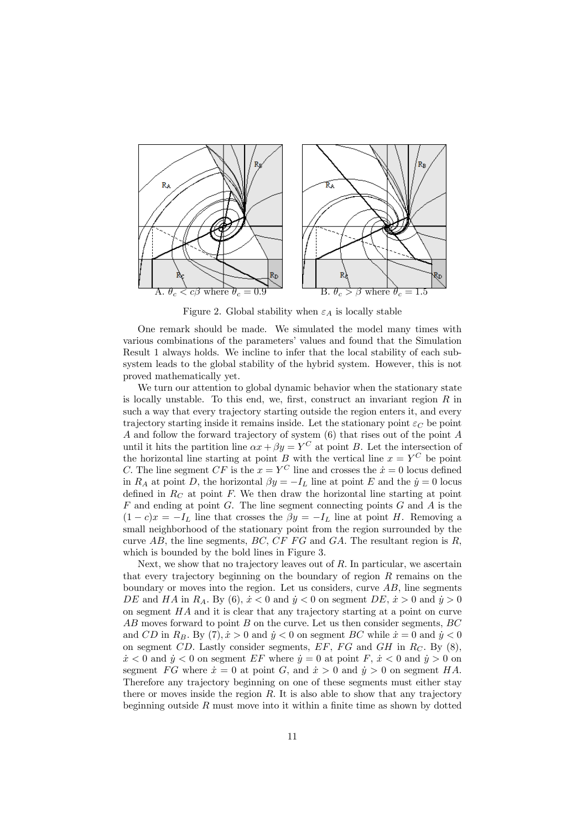

Figure 2. Global stability when  $\varepsilon_A$  is locally stable

One remark should be made. We simulated the model many times with various combinations of the parameters' values and found that the Simulation Result 1 always holds. We incline to infer that the local stability of each subsystem leads to the global stability of the hybrid system. However, this is not proved mathematically yet.

We turn our attention to global dynamic behavior when the stationary state is locally unstable. To this end, we, first, construct an invariant region  $R$  in such a way that every trajectory starting outside the region enters it, and every trajectory starting inside it remains inside. Let the stationary point  $\varepsilon_C$  be point A and follow the forward trajectory of system (6) that rises out of the point A until it hits the partition line  $\alpha x + \beta y = Y^C$  at point B. Let the intersection of the horizontal line starting at point B with the vertical line  $x = Y^C$  be point C. The line segment CF is the  $x = Y^C$  line and crosses the  $\dot{x} = 0$  locus defined in  $R_A$  at point D, the horizontal  $\beta y = -I_L$  line at point E and the  $\dot{y} = 0$  locus defined in  $R<sub>C</sub>$  at point F. We then draw the horizontal line starting at point  $F$  and ending at point  $G$ . The line segment connecting points  $G$  and  $A$  is the  $(1 - c)x = -I_L$  line that crosses the  $\beta y = -I_L$  line at point H. Removing a small neighborhood of the stationary point from the region surrounded by the curve  $AB$ , the line segments,  $BC$ ,  $CFFG$  and  $GA$ . The resultant region is R, which is bounded by the bold lines in Figure 3.

Next, we show that no trajectory leaves out of  $R$ . In particular, we ascertain that every trajectory beginning on the boundary of region  $R$  remains on the boundary or moves into the region. Let us considers, curve  $AB$ , line segments DE and HA in R<sub>A</sub>. By (6),  $\dot{x}$  < 0 and  $\dot{y}$  < 0 on segment DE,  $\dot{x}$  > 0 and  $\dot{y}$  > 0 on segment HA and it is clear that any trajectory starting at a point on curve AB moves forward to point B on the curve. Let us then consider segments, BC and CD in  $R_B$ . By  $(7), \dot{x} > 0$  and  $\dot{y} < 0$  on segment BC while  $\dot{x} = 0$  and  $\dot{y} < 0$ on segment CD. Lastly consider segments,  $EF$ ,  $FG$  and  $GH$  in  $R_C$ . By (8),  $\dot{x}$  < 0 and  $\dot{y}$  < 0 on segment EF where  $\dot{y} = 0$  at point F,  $\dot{x}$  < 0 and  $\dot{y} > 0$  on segment FG where  $\dot{x} = 0$  at point G, and  $\dot{x} > 0$  and  $\dot{y} > 0$  on segment HA. Therefore any trajectory beginning on one of these segments must either stay there or moves inside the region  $R$ . It is also able to show that any trajectory beginning outside  $R$  must move into it within a finite time as shown by dotted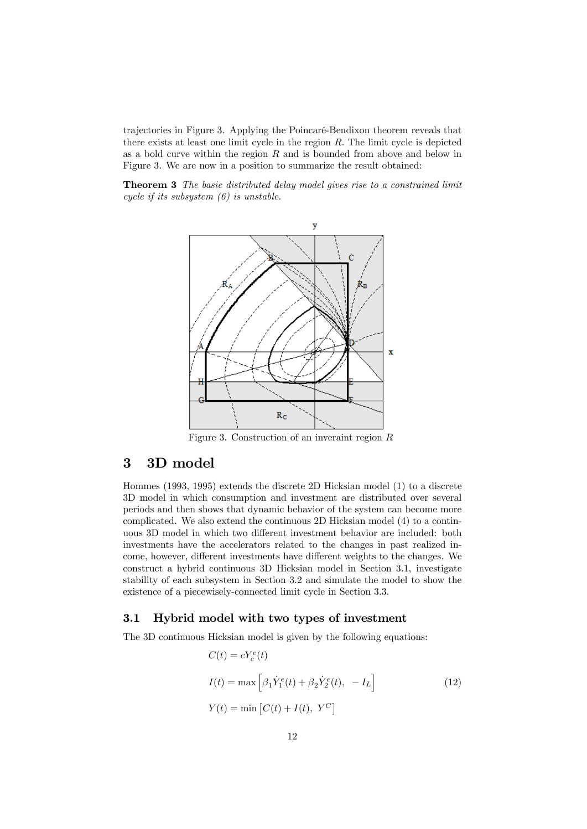trajectories in Figure 3. Applying the Poincaré-Bendixon theorem reveals that there exists at least one limit cycle in the region  $R$ . The limit cycle is depicted as a bold curve within the region  $R$  and is bounded from above and below in Figure 3. We are now in a position to summarize the result obtained:

Theorem 3 The basic distributed delay model gives rise to a constrained limit cycle if its subsystem (6) is unstable.



Figure 3. Construction of an inveraint region  $R$ 

# 3 3D model

Hommes (1993, 1995) extends the discrete 2D Hicksian model (1) to a discrete 3D model in which consumption and investment are distributed over several periods and then shows that dynamic behavior of the system can become more complicated. We also extend the continuous 2D Hicksian model (4) to a continuous 3D model in which two different investment behavior are included: both investments have the accelerators related to the changes in past realized income, however, different investments have different weights to the changes. We construct a hybrid continuous 3D Hicksian model in Section 3.1, investigate stability of each subsystem in Section 3.2 and simulate the model to show the existence of a piecewisely-connected limit cycle in Section 3.3.

### 3.1 Hybrid model with two types of investment

The 3D continuous Hicksian model is given by the following equations:

$$
C(t) = cY_c^e(t)
$$
  
\n
$$
I(t) = \max \left[ \beta_1 \dot{Y}_1^e(t) + \beta_2 \dot{Y}_2^e(t), -I_L \right]
$$
  
\n
$$
Y(t) = \min \left[ C(t) + I(t), Y^C \right]
$$
\n(12)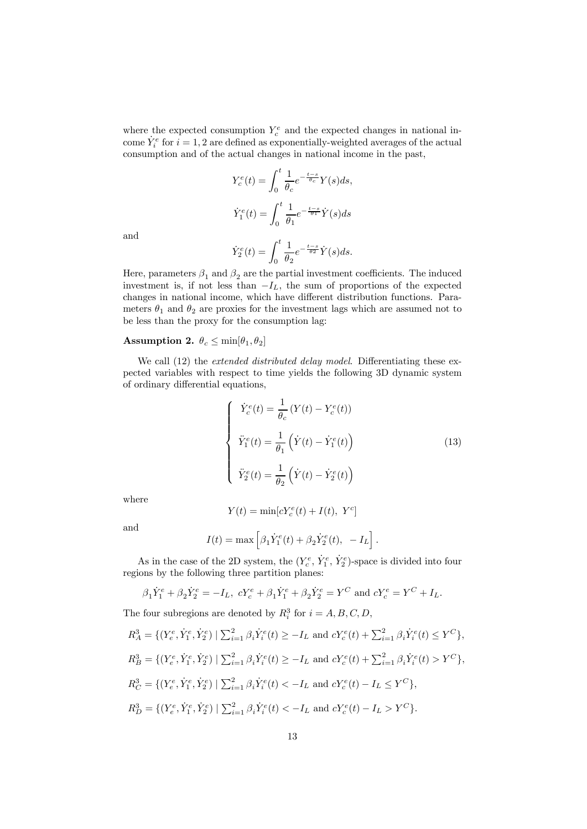where the expected consumption  $Y_c^e$  and the expected changes in national income  $\dot{Y}_i^e$  for  $i = 1, 2$  are defined as exponentially-weighted averages of the actual consumption and of the actual changes in national income in the past,

> $Y_c^e(t) = \int_0^t$ 1  $\frac{1}{\theta_c}e^{-\frac{t-s}{\theta_c}}Y(s)ds,$  $\dot{Y}_1^e(t) = \int_0^t$ 1  $rac{1}{\theta_1}e^{-\frac{t-s}{\theta_1}}\dot{Y}(s)ds$

and

$$
\dot{Y}_2^e(t) = \int_0^t \frac{1}{\theta_2} e^{-\frac{t-s}{\theta_2}} \dot{Y}(s) ds.
$$

Here, parameters  $\beta_1$  and  $\beta_2$  are the partial investment coefficients. The induced investment is, if not less than  $-I_L$ , the sum of proportions of the expected changes in national income, which have different distribution functions. Parameters  $\theta_1$  and  $\theta_2$  are proxies for the investment lags which are assumed not to be less than the proxy for the consumption lag:

### Assumption 2.  $\theta_c \leq \min[\theta_1, \theta_2]$

We call (12) the *extended distributed delay model*. Differentiating these expected variables with respect to time yields the following 3D dynamic system of ordinary differential equations,

$$
\begin{cases}\n\dot{Y}_c^e(t) = \frac{1}{\theta_c} \left( Y(t) - Y_c^e(t) \right) \\
\ddot{Y}_1^e(t) = \frac{1}{\theta_1} \left( \dot{Y}(t) - \dot{Y}_1^e(t) \right) \\
\ddot{Y}_2^e(t) = \frac{1}{\theta_2} \left( \dot{Y}(t) - \dot{Y}_2^e(t) \right)\n\end{cases}
$$
\n(13)

where

$$
Y(t) = \min[cY_c^e(t) + I(t), Y^c]
$$

and

$$
I(t) = \max \left[ \beta_1 \dot{Y}_1^e(t) + \beta_2 \dot{Y}_2^e(t), -I_L \right].
$$

As in the case of the 2D system, the  $(Y_c^e, \dot{Y}_1^e, \dot{Y}_2^e)$ -space is divided into four regions by the following three partition planes:

$$
\beta_1 \dot{Y}_1^e + \beta_2 \dot{Y}_2^e = -I_L
$$
,  $cY_c^e + \beta_1 \dot{Y}_1^e + \beta_2 \dot{Y}_2^e = Y^C$  and  $cY_c^e = Y^C + I_L$ .

The four subregions are denoted by  $R_i^3$  for  $i = A, B, C, D$ ,

$$
R_A^3 = \{ (Y_e^e, \dot{Y}_1^e, \dot{Y}_2^e) \mid \sum_{i=1}^2 \beta_i \dot{Y}_i^e(t) \ge -I_L \text{ and } cY_c^e(t) + \sum_{i=1}^2 \beta_i \dot{Y}_i^e(t) \le Y^C \},
$$
  
\n
$$
R_B^3 = \{ (Y_e^e, \dot{Y}_1^e, \dot{Y}_2^e) \mid \sum_{i=1}^2 \beta_i \dot{Y}_i^e(t) \ge -I_L \text{ and } cY_c^e(t) + \sum_{i=1}^2 \beta_i \dot{Y}_i^e(t) > Y^C \},
$$
  
\n
$$
R_C^3 = \{ (Y_e^e, \dot{Y}_1^e, \dot{Y}_2^e) \mid \sum_{i=1}^2 \beta_i \dot{Y}_i^e(t) < -I_L \text{ and } cY_c^e(t) - I_L \le Y^C \},
$$
  
\n
$$
R_D^3 = \{ (Y_e^e, \dot{Y}_1^e, \dot{Y}_2^e) \mid \sum_{i=1}^2 \beta_i \dot{Y}_i^e(t) < -I_L \text{ and } cY_c^e(t) - I_L > Y^C \}.
$$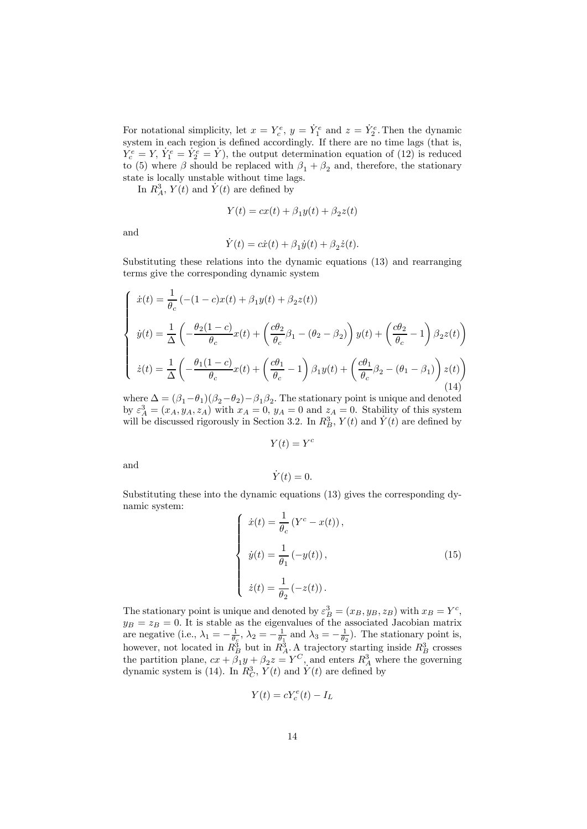For notational simplicity, let  $x = Y_c^e$ ,  $y = \dot{Y}_1^e$  and  $z = \dot{Y}_2^e$ . Then the dynamic system in each region is defined accordingly. If there are no time lags (that is,  $Y_c^e = Y$ ,  $\dot{Y}_1^e = \dot{Y}_2^e = \dot{Y}$ , the output determination equation of (12) is reduced to (5) where  $\beta$  should be replaced with  $\beta_1 + \beta_2$  and, therefore, the stationary state is locally unstable without time lags.

In  $R_A^3$ ,  $Y(t)$  and  $\dot{Y}(t)$  are defined by

$$
Y(t) = cx(t) + \beta_1 y(t) + \beta_2 z(t)
$$

and

$$
\dot{Y}(t) = c\dot{x}(t) + \beta_1 \dot{y}(t) + \beta_2 \dot{z}(t).
$$

Substituting these relations into the dynamic equations (13) and rearranging terms give the corresponding dynamic system

$$
\begin{cases}\n\dot{x}(t) = \frac{1}{\theta_c} \left( -(1-c)x(t) + \beta_1 y(t) + \beta_2 z(t) \right) \\
\dot{y}(t) = \frac{1}{\Delta} \left( -\frac{\theta_2 (1-c)}{\theta_c} x(t) + \left( \frac{c\theta_2}{\theta_c} \beta_1 - (\theta_2 - \beta_2) \right) y(t) + \left( \frac{c\theta_2}{\theta_c} - 1 \right) \beta_2 z(t) \right) \\
\dot{z}(t) = \frac{1}{\Delta} \left( -\frac{\theta_1 (1-c)}{\theta_c} x(t) + \left( \frac{c\theta_1}{\theta_c} - 1 \right) \beta_1 y(t) + \left( \frac{c\theta_1}{\theta_c} \beta_2 - (\theta_1 - \beta_1) \right) z(t) \right)\n\end{cases}
$$
\n(14)

where  $\Delta = (\beta_1 - \theta_1)(\beta_2 - \theta_2) - \beta_1 \beta_2$ . The stationary point is unique and denoted by  $\varepsilon_A^3 = (x_A, y_A, z_A)$  with  $x_A = 0$ ,  $y_A = 0$  and  $z_A = 0$ . Stability of this system will be discussed rigorously in Section 3.2. In  $R_B^3$ ,  $Y(t)$  and  $\dot{Y}(t)$  are defined by

 $Y(t) = Y^c$ 

and

$$
\dot{Y}(t) = 0.
$$

Substituting these into the dynamic equations (13) gives the corresponding dynamic system:

$$
\begin{cases}\n\dot{x}(t) = \frac{1}{\theta_c} (Y^c - x(t)), \\
\dot{y}(t) = \frac{1}{\theta_1} (-y(t)), \\
\dot{z}(t) = \frac{1}{\theta_2} (-z(t)).\n\end{cases}
$$
\n(15)

The stationary point is unique and denoted by  $\varepsilon_B^3 = (x_B, y_B, z_B)$  with  $x_B = Y^c$ ,  $y_B = z_B = 0$ . It is stable as the eigenvalues of the associated Jacobian matrix are negative (i.e.,  $\lambda_1 = -\frac{1}{\theta_g}$ ,  $\lambda_2 = -\frac{1}{\theta_1}$  and  $\lambda_3 = -\frac{1}{\theta_2}$ ). The stationary point is, however, not located in  $R_B^3$  but in  $R_A^3$ . A trajectory starting inside  $R_B^3$  crosses the partition plane,  $cx + \beta_1 y + \beta_2 z = Y^C$ , and enters  $R_A^3$  where the governing dynamic system is (14). In  $R_C^3$ ,  $Y(t)$  and  $\dot{Y}(t)$  are defined by

$$
Y(t) = cY_c^e(t) - I_L
$$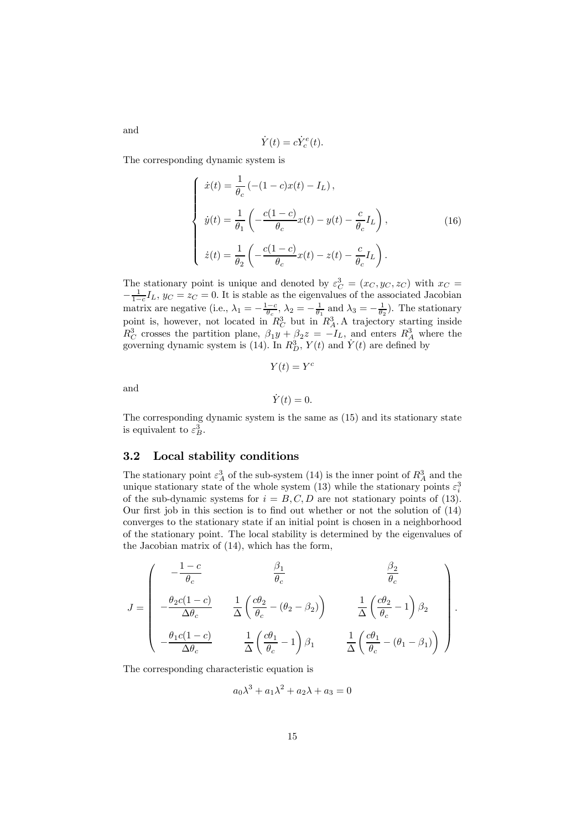$$
\dot{Y}(t) = c \dot{Y}_c^e(t).
$$

The corresponding dynamic system is

$$
\begin{cases}\n\dot{x}(t) = \frac{1}{\theta_c} \left( -(1 - c)x(t) - I_L \right), \\
\dot{y}(t) = \frac{1}{\theta_1} \left( -\frac{c(1 - c)}{\theta_c} x(t) - y(t) - \frac{c}{\theta_c} I_L \right), \\
\dot{z}(t) = \frac{1}{\theta_2} \left( -\frac{c(1 - c)}{\theta_c} x(t) - z(t) - \frac{c}{\theta_c} I_L \right).\n\end{cases} (16)
$$

The stationary point is unique and denoted by  $\varepsilon_C^3 = (x_C, y_C, z_C)$  with  $x_C =$  $-\frac{1}{1-c}I_L$ ,  $y_C = z_C = 0$ . It is stable as the eigenvalues of the associated Jacobian matrix are negative (i.e.,  $\lambda_1 = -\frac{1-c}{\theta_c}$ ,  $\lambda_2 = -\frac{1}{\theta_1}$  and  $\lambda_3 = -\frac{1}{\theta_2}$ ). The stationary point is, however, not located in  $R_C^3$  but in  $R_A^3$ . A trajectory starting inside  $R_C^3$  crosses the partition plane,  $\beta_1 y + \beta_2 z = -I_L$ , and enters  $R_A^3$  where the governing dynamic system is (14). In  $R_D^3$ ,  $Y(t)$  and  $\dot{Y}(t)$  are defined by

$$
Y(t) = Y^c
$$

and

$$
\dot{Y}(t) = 0.
$$

The corresponding dynamic system is the same as (15) and its stationary state is equivalent to  $\varepsilon_B^3$ .

### 3.2 Local stability conditions

The stationary point  $\varepsilon_A^3$  of the sub-system (14) is the inner point of  $R_A^3$  and the unique stationary state of the whole system (13) while the stationary points  $\varepsilon_i^3$ of the sub-dynamic systems for  $i = B, C, D$  are not stationary points of (13). Our first job in this section is to find out whether or not the solution of (14) converges to the stationary state if an initial point is chosen in a neighborhood of the stationary point. The local stability is determined by the eigenvalues of the Jacobian matrix of (14), which has the form,

$$
J = \begin{pmatrix} -\frac{1-c}{\theta_c} & \frac{\beta_1}{\theta_c} & \frac{\beta_2}{\theta_c} \\ -\frac{\theta_2c(1-c)}{\Delta\theta_c} & \frac{1}{\Delta}\left(\frac{c\theta_2}{\theta_c}-(\theta_2-\beta_2)\right) & \frac{1}{\Delta}\left(\frac{c\theta_2}{\theta_c}-1\right)\beta_2 \\ -\frac{\theta_1c(1-c)}{\Delta\theta_c} & \frac{1}{\Delta}\left(\frac{c\theta_1}{\theta_c}-1\right)\beta_1 & \frac{1}{\Delta}\left(\frac{c\theta_1}{\theta_c}-(\theta_1-\beta_1)\right) \end{pmatrix}.
$$

The corresponding characteristic equation is

$$
a_0\lambda^3 + a_1\lambda^2 + a_2\lambda + a_3 = 0
$$

and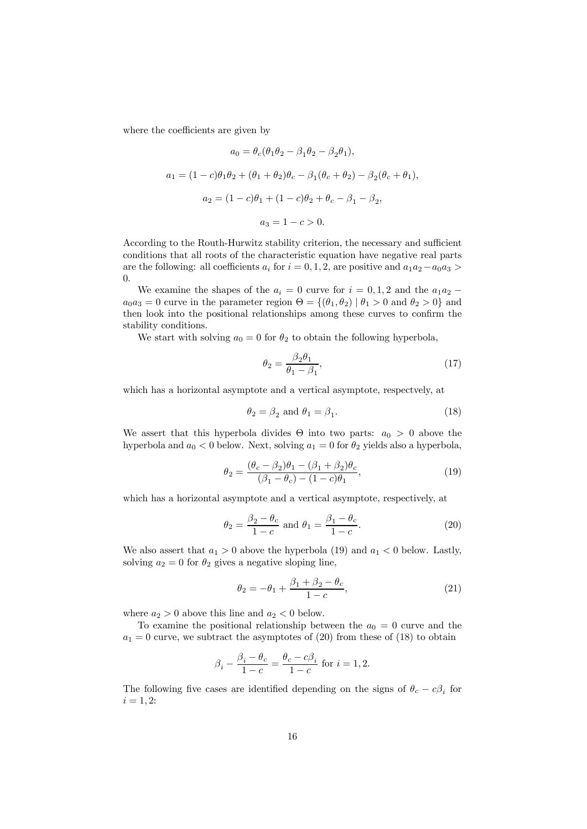where the coefficients are given by

$$
a_0 = \theta_c(\theta_1 \theta_2 - \beta_1 \theta_2 - \beta_2 \theta_1),
$$
  
\n
$$
a_1 = (1 - c)\theta_1 \theta_2 + (\theta_1 + \theta_2)\theta_c - \beta_1(\theta_c + \theta_2) - \beta_2(\theta_c + \theta_1),
$$
  
\n
$$
a_2 = (1 - c)\theta_1 + (1 - c)\theta_2 + \theta_c - \beta_1 - \beta_2,
$$
  
\n
$$
a_3 = 1 - c > 0.
$$

According to the Routh-Hurwitz stability criterion, the necessary and sufficient conditions that all roots of the characteristic equation have negative real parts are the following: all coefficients  $a_i$  for  $i = 0, 1, 2$ , are positive and  $a_1a_2-a_0a_3 >$ 0.

We examine the shapes of the  $a_i = 0$  curve for  $i = 0, 1, 2$  and the  $a_1 a_2$  −  $a_0a_3 = 0$  curve in the parameter region  $\Theta = \{(\theta_1, \theta_2) | \theta_1 > 0 \text{ and } \theta_2 > 0\}$  and then look into the positional relationships among these curves to confirm the stability conditions.

We start with solving  $a_0 = 0$  for  $\theta_2$  to obtain the following hyperbola,

$$
\theta_2 = \frac{\beta_2 \theta_1}{\theta_1 - \beta_1},\tag{17}
$$

which has a horizontal asymptote and a vertical asymptote, respectvely, at

$$
\theta_2 = \beta_2 \text{ and } \theta_1 = \beta_1. \tag{18}
$$

We assert that this hyperbola divides  $\Theta$  into two parts:  $a_0 > 0$  above the hyperbola and  $a_0 < 0$  below. Next, solving  $a_1 = 0$  for  $\theta_2$  yields also a hyperbola,

$$
\theta_2 = \frac{(\theta_c - \beta_2)\theta_1 - (\beta_1 + \beta_2)\theta_c}{(\beta_1 - \theta_c) - (1 - c)\theta_1},
$$
\n(19)

which has a horizontal asymptote and a vertical asymptote, respectively, at

$$
\theta_2 = \frac{\beta_2 - \theta_c}{1 - c} \text{ and } \theta_1 = \frac{\beta_1 - \theta_c}{1 - c}.
$$
 (20)

We also assert that  $a_1 > 0$  above the hyperbola (19) and  $a_1 < 0$  below. Lastly, solving  $a_2 = 0$  for  $\theta_2$  gives a negative sloping line,

$$
\theta_2 = -\theta_1 + \frac{\beta_1 + \beta_2 - \theta_c}{1 - c},
$$
\n(21)

where  $a_2 > 0$  above this line and  $a_2 < 0$  below.

To examine the positional relationship between the  $a_0 = 0$  curve and the  $a_1 = 0$  curve, we subtract the asymptotes of (20) from these of (18) to obtain

$$
\beta_i - \frac{\beta_i - \theta_c}{1 - c} = \frac{\theta_c - c\beta_i}{1 - c} \text{ for } i = 1, 2.
$$

The following five cases are identified depending on the signs of  $\theta_c - c\beta_i$  for  $i = 1, 2:$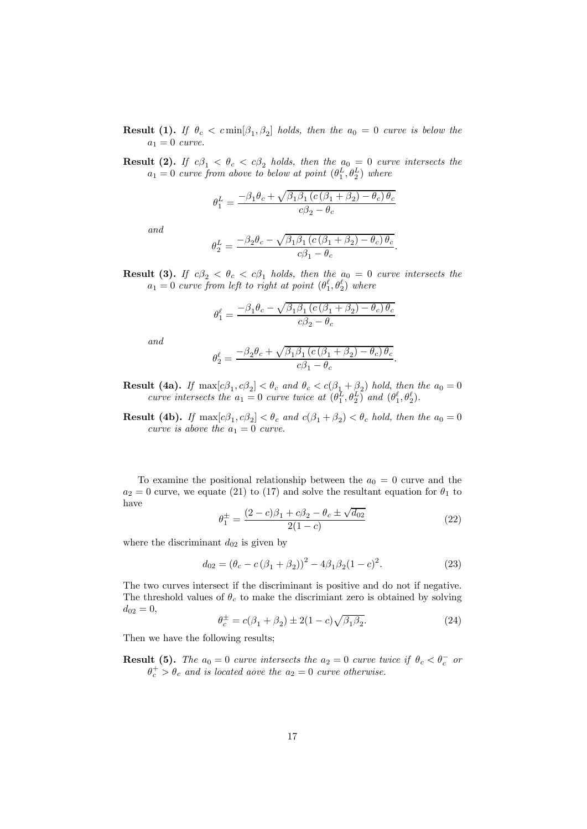- **Result (1).** If  $\theta_c < c \min[\beta_1, \beta_2]$  holds, then the  $a_0 = 0$  curve is below the  $a_1 = 0$  curve.
- **Result (2).** If  $c\beta_1 < \theta_c < c\beta_2$  holds, then the  $a_0 = 0$  curve intersects the  $a_1 = 0$  curve from above to below at point  $(\theta_1^L, \theta_2^L)$  where

$$
\theta _{1}^{L}=\frac{-\beta _{1}\theta _{c}+\sqrt{\beta _{1}\beta _{1}\left( c\left( \beta _{1}+\beta _{2}\right) -\theta _{c}\right) \theta _{c}}}{c\beta _{2}-\theta _{c}}
$$

and

$$
\theta_2^L = \frac{-\beta_2 \theta_c - \sqrt{\beta_1 \beta_1 \left( c \left( \beta_1 + \beta_2 \right) - \theta_c \right) \theta_c}}{c \beta_1 - \theta_c}.
$$

**Result (3).** If  $c\beta_2 < \theta_c < c\beta_1$  holds, then the  $a_0 = 0$  curve intersects the  $a_1 = 0$  curve from left to right at point  $(\theta_1^{\ell}, \theta_2^{\ell})$  where

$$
\theta_1^{\ell} = \frac{-\beta_1 \theta_c - \sqrt{\beta_1 \beta_1 \left( c \left( \beta_1 + \beta_2 \right) - \theta_c \right) \theta_c}}{c \beta_2 - \theta_c}
$$

and

$$
\theta_2^{\ell} = \frac{-\beta_2 \theta_c + \sqrt{\beta_1 \beta_1 \left( c \left( \beta_1 + \beta_2 \right) - \theta_c \right) \theta_c}}{c \beta_1 - \theta_c}
$$

**Result (4a).** If  $\max[c\beta_1, c\beta_2] < \theta_c$  and  $\theta_c < c(\beta_1 + \beta_2)$  hold, then the  $a_0 = 0$ curve intersects the  $a_1 = 0$  curve twice at  $(\theta_1^L, \theta_2^L)$  and  $(\theta_1^{\ell}, \theta_2^{\ell})$ .

**Result (4b).** If  $\max[c\beta_1, c\beta_2] < \theta_c$  and  $c(\beta_1 + \beta_2) < \theta_c$  hold, then the  $a_0 = 0$ curve is above the  $a_1 = 0$  curve.

To examine the positional relationship between the  $a_0 = 0$  curve and the  $a_2 = 0$  curve, we equate (21) to (17) and solve the resultant equation for  $\theta_1$  to have

$$
\theta_1^{\pm} = \frac{(2-c)\beta_1 + c\beta_2 - \theta_c \pm \sqrt{d_{02}}}{2(1-c)}
$$
\n(22)

.

where the discriminant  $d_{02}$  is given by

$$
d_{02} = (\theta_c - c(\beta_1 + \beta_2))^2 - 4\beta_1\beta_2(1 - c)^2.
$$
 (23)

The two curves intersect if the discriminant is positive and do not if negative. The threshold values of  $\theta_c$  to make the discrimiant zero is obtained by solving  $d_{02} = 0$ ,

$$
\theta_c^{\pm} = c(\beta_1 + \beta_2) \pm 2(1 - c)\sqrt{\beta_1 \beta_2}.
$$
 (24)

Then we have the following results;

**Result (5).** The  $a_0 = 0$  curve intersects the  $a_2 = 0$  curve twice if  $\theta_c < \theta_c^-$  or  $\theta_c^+ > \theta_c$  and is located aove the  $a_2 = 0$  curve otherwise.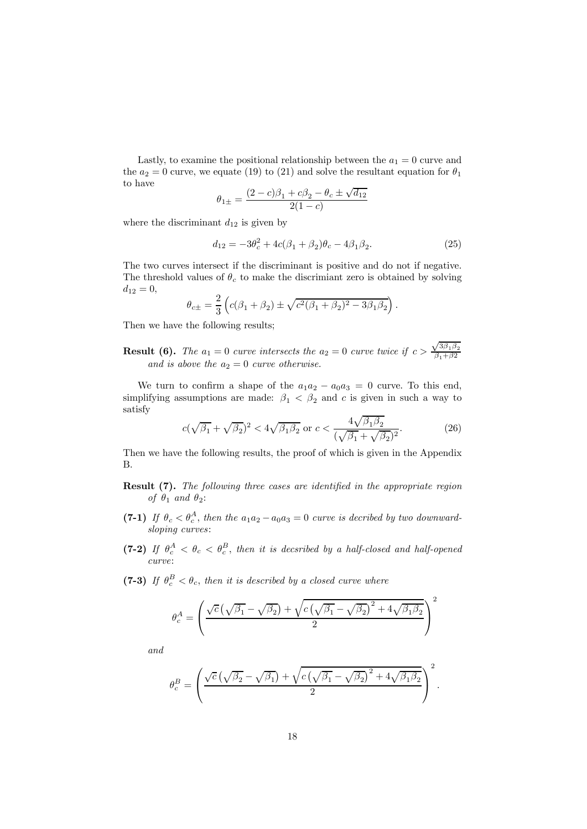Lastly, to examine the positional relationship between the  $a_1 = 0$  curve and the  $a_2 = 0$  curve, we equate (19) to (21) and solve the resultant equation for  $\theta_1$ to have

$$
\theta_{1\pm}=\frac{(2-c)\beta_1+c\beta_2-\theta_c\pm\sqrt{d_{12}}}{2(1-c)}
$$

where the discriminant  $d_{12}$  is given by

$$
d_{12} = -3\theta_c^2 + 4c(\beta_1 + \beta_2)\theta_c - 4\beta_1\beta_2.
$$
 (25)

The two curves intersect if the discriminant is positive and do not if negative. The threshold values of  $\theta_c$  to make the discrimiant zero is obtained by solving  $d_{12} = 0,$ 

$$
\theta_{c\pm} = \frac{2}{3} \left( c(\beta_1 + \beta_2) \pm \sqrt{c^2(\beta_1 + \beta_2)^2 - 3\beta_1\beta_2} \right).
$$

Then we have the following results;

**Result (6).** The  $a_1 = 0$  curve intersects the  $a_2 = 0$  curve twice if  $c > \frac{\sqrt{3\beta_1\beta_2}}{\beta_1 + \beta_2}$  $\beta_1+\beta_2$ and is above the  $a_2 = 0$  curve otherwise.

We turn to confirm a shape of the  $a_1a_2 - a_0a_3 = 0$  curve. To this end, simplifying assumptions are made:  $\beta_1 < \beta_2$  and c is given in such a way to satisfy

$$
c(\sqrt{\beta_1} + \sqrt{\beta_2})^2 < 4\sqrt{\beta_1 \beta_2}
$$
 or  $c < \frac{4\sqrt{\beta_1 \beta_2}}{(\sqrt{\beta_1} + \sqrt{\beta_2})^2}$ . (26)

Then we have the following results, the proof of which is given in the Appendix B.

- Result (7). The following three cases are identified in the appropriate region of  $\theta_1$  and  $\theta_2$ :
- (7-1) If  $\theta_c < \theta_c^A$ , then the  $a_1a_2 a_0a_3 = 0$  curve is decribed by two downwardsloping curves:
- (7-2) If  $\theta_c^A < \theta_c < \theta_c^B$ , then it is decsribed by a half-closed and half-opened curve:
- (7-3) If  $\theta_c^B < \theta_c$ , then it is described by a closed curve where

$$
\theta_c^A = \left(\frac{\sqrt{c}\left(\sqrt{\beta_1} - \sqrt{\beta_2}\right) + \sqrt{c\left(\sqrt{\beta_1} - \sqrt{\beta_2}\right)^2 + 4\sqrt{\beta_1\beta_2}}}{2}\right)^2
$$

and

$$
\theta_c^B = \left(\frac{\sqrt{c}\left(\sqrt{\beta_2} - \sqrt{\beta_1}\right) + \sqrt{c\left(\sqrt{\beta_1} - \sqrt{\beta_2}\right)^2 + 4\sqrt{\beta_1\beta_2}}}{2}\right)^2.
$$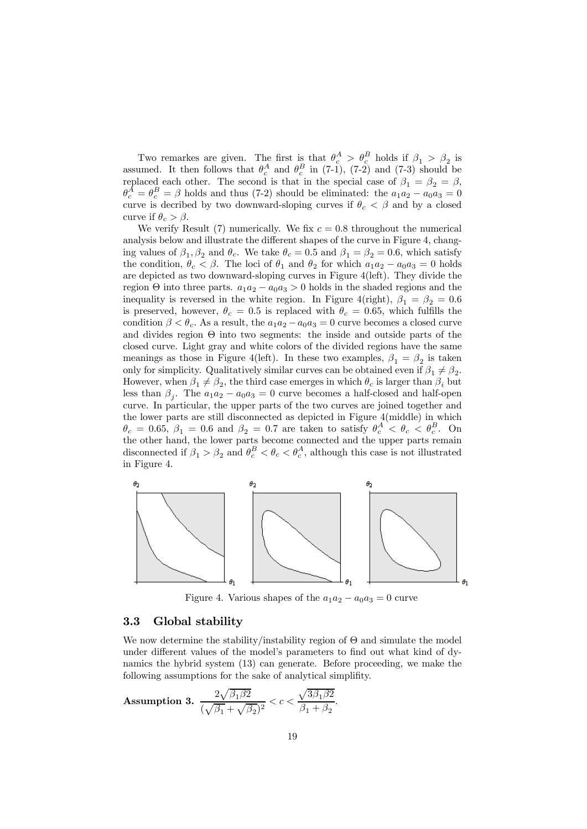Two remarkes are given. The first is that  $\theta_c^A > \theta_c^B$  holds if  $\beta_1 > \beta_2$  is assumed. It then follows that  $\theta_c^A$  and  $\theta_c^B$  in (7-1), (7-2) and (7-3) should be replaced each other. The second is that in the special case of  $\beta_1 = \beta_2 = \beta$ ,  $\theta_c^A = \theta_c^B = \beta$  holds and thus (7-2) should be eliminated: the  $a_1 a_2 - a_0 a_3 = 0$ curve is decribed by two downward-sloping curves if  $\theta_c < \beta$  and by a closed curve if  $\theta_c > \beta$ .

We verify Result (7) numerically. We fix  $c = 0.8$  throughout the numerical analysis below and illustrate the different shapes of the curve in Figure 4, changing values of  $\beta_1, \beta_2$  and  $\theta_c$ . We take  $\theta_c = 0.5$  and  $\beta_1 = \beta_2 = 0.6$ , which satisfy the condition,  $\theta_c < \beta$ . The loci of  $\theta_1$  and  $\theta_2$  for which  $a_1a_2 - a_0a_3 = 0$  holds are depicted as two downward-sloping curves in Figure 4(left). They divide the region  $\Theta$  into three parts.  $a_1a_2 - a_0a_3 > 0$  holds in the shaded regions and the inequality is reversed in the white region. In Figure 4(right),  $\beta_1 = \beta_2 = 0.6$ is preserved, however,  $\theta_c = 0.5$  is replaced with  $\theta_c = 0.65$ , which fulfills the condition  $\beta < \theta_c$ . As a result, the  $a_1a_2 - a_0a_3 = 0$  curve becomes a closed curve and divides region  $\Theta$  into two segments: the inside and outside parts of the closed curve. Light gray and white colors of the divided regions have the same meanings as those in Figure 4(left). In these two examples,  $\beta_1 = \beta_2$  is taken only for simplicity. Qualitatively similar curves can be obtained even if  $\beta_1 \neq \beta_2$ . However, when  $\beta_1 \neq \beta_2$ , the third case emerges in which  $\theta_c$  is larger than  $\beta_i$  but less than  $\beta_i$ . The  $a_1a_2 - a_0a_3 = 0$  curve becomes a half-closed and half-open curve. In particular, the upper parts of the two curves are joined together and the lower parts are still disconnected as depicted in Figure 4(middle) in which  $\theta_c = 0.65, \beta_1 = 0.6$  and  $\beta_2 = 0.7$  are taken to satisfy  $\theta_c^A < \theta_c < \theta_c^B$ . On the other hand, the lower parts become connected and the upper parts remain disconnected if  $\beta_1 > \beta_2$  and  $\theta_c^B < \theta_c < \theta_c^A$ , although this case is not illustrated in Figure 4.



Figure 4. Various shapes of the  $a_1a_2 - a_0a_3 = 0$  curve

### 3.3 Global stability

We now determine the stability/instability region of  $\Theta$  and simulate the model under different values of the model's parameters to find out what kind of dynamics the hybrid system (13) can generate. Before proceeding, we make the following assumptions for the sake of analytical simplifity.

Assumption 3.  $\frac{2\sqrt{\beta_1\beta_2}}{\sqrt{\beta_1\beta_2}}$  $\frac{2\sqrt{\beta_1\beta2}}{(\sqrt{\beta_1}+\sqrt{\beta_2})^2} < c < \frac{\sqrt{3\beta_1\beta2}}{\beta_1+\beta_2}$  $\frac{\sqrt{9\beta_1\beta_2}}{\beta_1 + \beta_2}.$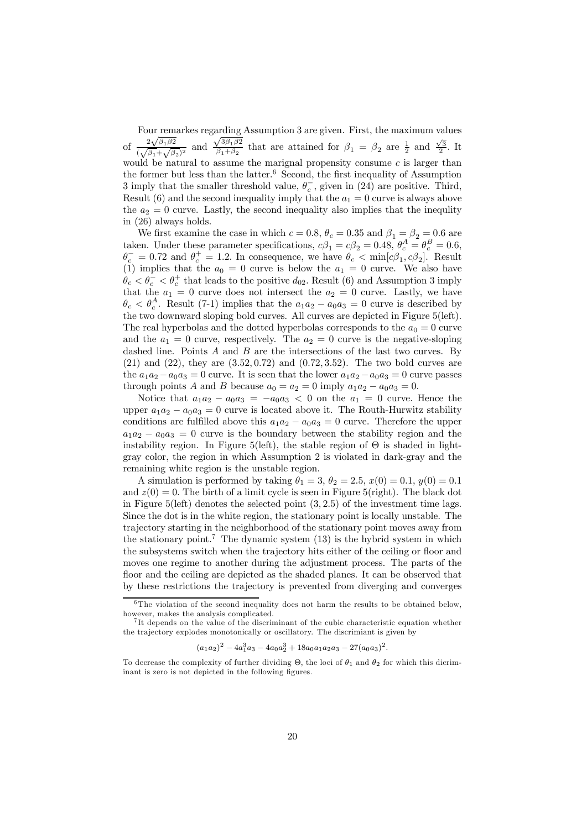Four remarkes regarding Assumption 3 are given. First, the maximum values of  $\frac{2\sqrt{\beta_1\beta_2}}{\sqrt{\beta_1\beta_2}}$  $\frac{\sqrt[2]{\beta_1 \beta_2}}{(\sqrt{\beta_1} + \sqrt{\beta_2})^2}$  and  $\sqrt{3\beta_1\beta_2}$  $\sqrt{\frac{3\beta_1\beta_2}{\beta_1+\beta_2}}$  that are attained for  $\beta_1 = \beta_2$  are  $\frac{1}{2}$  and  $\frac{\sqrt{3}}{2}$ . It would be natural to assume the marignal propensity consume  $c$  is larger than the former but less than the latter.<sup>6</sup> Second, the first inequality of Assumption 3 imply that the smaller threshold value,  $\theta_c^-$ , given in (24) are positive. Third, Result (6) and the second inequality imply that the  $a_1 = 0$  curve is always above the  $a_2 = 0$  curve. Lastly, the second inequality also implies that the inequlity in (26) always holds.

We first examine the case in which  $c = 0.8$ ,  $\theta_c = 0.35$  and  $\beta_1 = \beta_2 = 0.6$  are taken. Under these parameter specifications,  $c\beta_1 = c\beta_2 = 0.48$ ,  $\theta_c^A = \theta_c^B = 0.6$ ,  $\theta_c^+ = 0.72$  and  $\theta_c^+ = 1.2$ . In consequence, we have  $\theta_c < \min[c\beta_1, c\beta_2]$ . Result (1) implies that the  $a_0 = 0$  curve is below the  $a_1 = 0$  curve. We also have  $\dot{\theta}_c < \theta_c^- < \theta_c^+$  that leads to the positive  $d_{02}$ . Result (6) and Assumption 3 imply that the  $a_1 = 0$  curve does not intersect the  $a_2 = 0$  curve. Lastly, we have  $\theta_c < \theta_c^A$ . Result (7-1) implies that the  $a_1a_2 - a_0a_3 = 0$  curve is described by the two downward sloping bold curves. All curves are depicted in Figure 5(left). The real hyperbolas and the dotted hyperbolas corresponds to the  $a_0 = 0$  curve and the  $a_1 = 0$  curve, respectively. The  $a_2 = 0$  curve is the negative-sloping dashed line. Points  $A$  and  $B$  are the intersections of the last two curves. By  $(21)$  and  $(22)$ , they are  $(3.52, 0.72)$  and  $(0.72, 3.52)$ . The two bold curves are the  $a_1a_2 - a_0a_3 = 0$  curve. It is seen that the lower  $a_1a_2 - a_0a_3 = 0$  curve passes through points A and B because  $a_0 = a_2 = 0$  imply  $a_1 a_2 - a_0 a_3 = 0$ .

Notice that  $a_1a_2 - a_0a_3 = -a_0a_3 < 0$  on the  $a_1 = 0$  curve. Hence the upper  $a_1a_2 - a_0a_3 = 0$  curve is located above it. The Routh-Hurwitz stability conditions are fulfilled above this  $a_1a_2 - a_0a_3 = 0$  curve. Therefore the upper  $a_1a_2 - a_0a_3 = 0$  curve is the boundary between the stability region and the instability region. In Figure 5(left), the stable region of  $\Theta$  is shaded in lightgray color, the region in which Assumption 2 is violated in dark-gray and the remaining white region is the unstable region.

A simulation is performed by taking  $\theta_1 = 3, \theta_2 = 2.5, x(0) = 0.1, y(0) = 0.1$ and  $z(0) = 0$ . The birth of a limit cycle is seen in Figure 5(right). The black dot in Figure  $5(\text{left})$  denotes the selected point  $(3, 2.5)$  of the investment time lags. Since the dot is in the white region, the stationary point is locally unstable. The trajectory starting in the neighborhood of the stationary point moves away from the stationary point.<sup>7</sup> The dynamic system  $(13)$  is the hybrid system in which the subsystems switch when the trajectory hits either of the ceiling or floor and moves one regime to another during the adjustment process. The parts of the floor and the ceiling are depicted as the shaded planes. It can be observed that by these restrictions the trajectory is prevented from diverging and converges

<sup>&</sup>lt;sup>6</sup>The violation of the second inequality does not harm the results to be obtained below, however, makes the analysis complicated.

<sup>&</sup>lt;sup>7</sup>It depends on the value of the discriminant of the cubic characteristic equation whether the tra jectory explodes monotonically or oscillatory. The discrimiant is given by

 $(a_1a_2)^2 - 4a_1^3a_3 - 4a_0a_2^3 + 18a_0a_1a_2a_3 - 27(a_0a_3)^2.$ 

To decrease the complexity of further dividing  $\Theta$ , the loci of  $\theta_1$  and  $\theta_2$  for which this dicriminant is zero is not depicted in the following figures.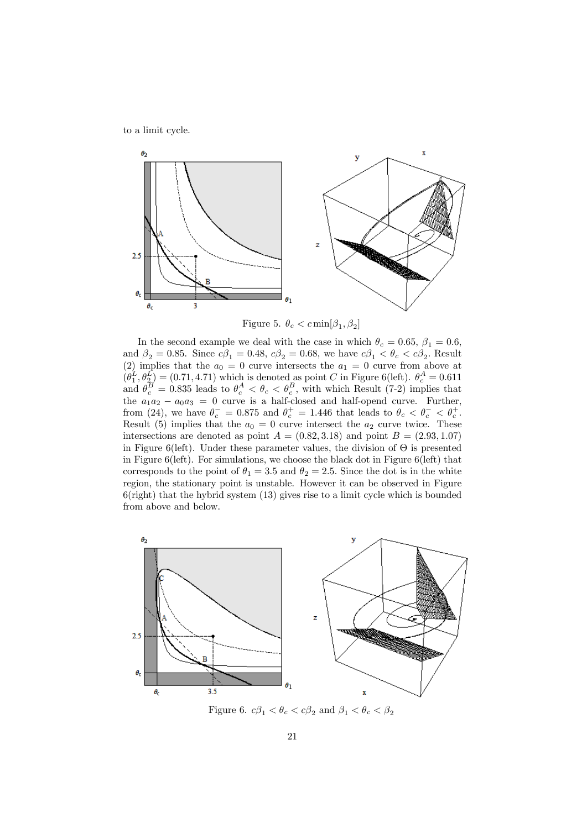to a limit cycle.



Figure 5.  $\theta_c < c \min[\beta_1, \beta_2]$ 

In the second example we deal with the case in which  $\theta_c = 0.65$ ,  $\beta_1 = 0.6$ , and  $\beta_2 = 0.85$ . Since  $c\beta_1 = 0.48$ ,  $c\beta_2 = 0.68$ , we have  $c\beta_1 < \theta_c < c\beta_2$ . Result (2) implies that the  $a_0 = 0$  curve intersects the  $a_1 = 0$  curve from above at  $(\theta_1^L, \theta_2^L) = (0.71, 4.71)$  which is denoted as point C in Figure 6(left).  $\theta_c^A = 0.611$ and  $\theta_c^B = 0.835$  leads to  $\theta_c^A < \theta_c < \theta_c^B$ , with which Result (7-2) implies that the  $a_1a_2 - a_0a_3 = 0$  curve is a half-closed and half-opend curve. Further, from (24), we have  $\theta_c^- = 0.875$  and  $\theta_c^+ = 1.446$  that leads to  $\theta_c < \theta_c^- < \theta_c^+$ . Result (5) implies that the  $a_0 = 0$  curve intersect the  $a_2$  curve twice. These intersections are denoted as point  $A = (0.82, 3.18)$  and point  $B = (2.93, 1.07)$ in Figure 6(left). Under these parameter values, the division of  $\Theta$  is presented in Figure 6(left). For simulations, we choose the black dot in Figure 6(left) that corresponds to the point of  $\theta_1 = 3.5$  and  $\theta_2 = 2.5$ . Since the dot is in the white region, the stationary point is unstable. However it can be observed in Figure 6(right) that the hybrid system (13) gives rise to a limit cycle which is bounded from above and below.



Figure 6.  $c\beta_1 < \theta_c < c\beta_2$  and  $\beta_1 < \theta_c < \beta_2$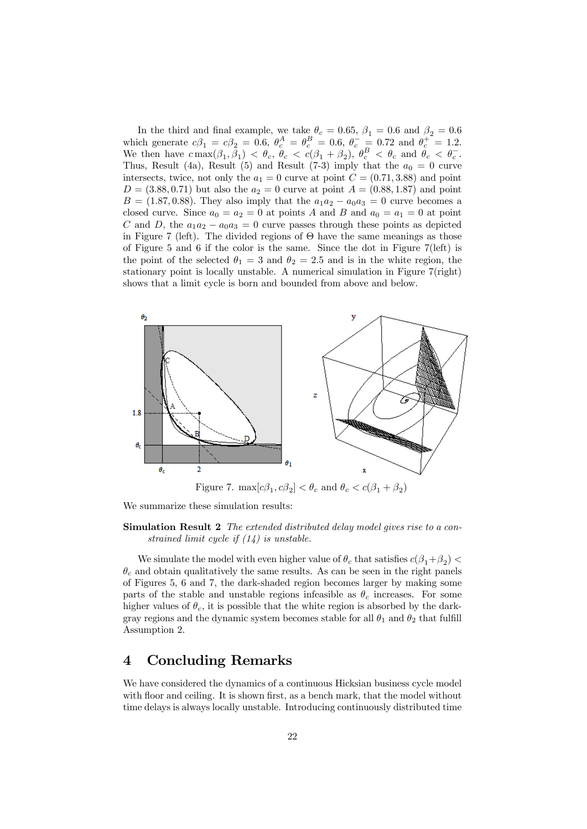In the third and final example, we take  $\theta_c = 0.65$ ,  $\beta_1 = 0.6$  and  $\beta_2 = 0.6$ which generate  $c\beta_1 = c\beta_2 = 0.6$ ,  $\theta_c^A = \theta_c^B = 0.6$ ,  $\theta_c^- = 0.72$  and  $\theta_c^+ = 1.2$ . We then have  $c \max(\beta_1, \bar{\beta_1}) < \theta_c$ ,  $\bar{\theta}_c < c(\beta_1 + \beta_2)$ ,  $\theta_c^B < \theta_c$  and  $\bar{\theta}_c < \theta_c^-$ . Thus, Result (4a), Result (5) and Result (7-3) imply that the  $a_0 = 0$  curve intersects, twice, not only the  $a_1 = 0$  curve at point  $C = (0.71, 3.88)$  and point  $D = (3.88, 0.71)$  but also the  $a_2 = 0$  curve at point  $A = (0.88, 1.87)$  and point  $B = (1.87, 0.88)$ . They also imply that the  $a_1a_2 - a_0a_3 = 0$  curve becomes a closed curve. Since  $a_0 = a_2 = 0$  at points A and B and  $a_0 = a_1 = 0$  at point C and D, the  $a_1a_2 - a_0a_3 = 0$  curve passes through these points as depicted in Figure 7 (left). The divided regions of  $\Theta$  have the same meanings as those of Figure 5 and 6 if the color is the same. Since the dot in Figure 7(left) is the point of the selected  $\theta_1 = 3$  and  $\theta_2 = 2.5$  and is in the white region, the stationary point is locally unstable. A numerical simulation in Figure 7(right) shows that a limit cycle is born and bounded from above and below.



We summarize these simulation results:

Simulation Result 2 The extended distributed delay model gives rise to a constrained limit cycle if (14) is unstable.

We simulate the model with even higher value of  $\theta_c$  that satisfies  $c(\beta_1+\beta_2)$  $\theta_c$  and obtain qualitatively the same results. As can be seen in the right panels of Figures 5, 6 and 7, the dark-shaded region becomes larger by making some parts of the stable and unstable regions infeasible as  $\theta_c$  increases. For some higher values of  $\theta_c$ , it is possible that the white region is absorbed by the darkgray regions and the dynamic system becomes stable for all  $\theta_1$  and  $\theta_2$  that fulfill Assumption 2.

### 4 Concluding Remarks

We have considered the dynamics of a continuous Hicksian business cycle model with floor and ceiling. It is shown first, as a bench mark, that the model without time delays is always locally unstable. Introducing continuously distributed time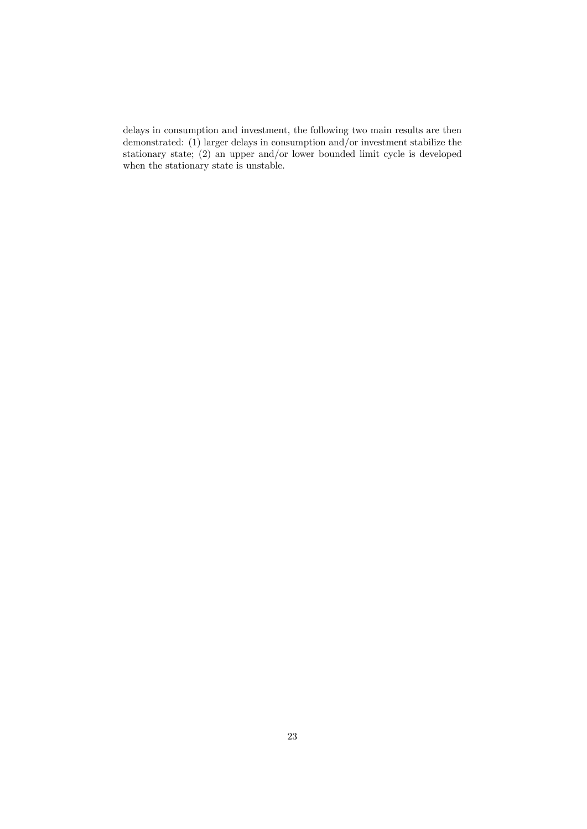delays in consumption and investment, the following two main results are then demonstrated: (1) larger delays in consumption and/or investment stabilize the stationary state; (2) an upper and/or lower bounded limit cycle is developed when the stationary state is unstable.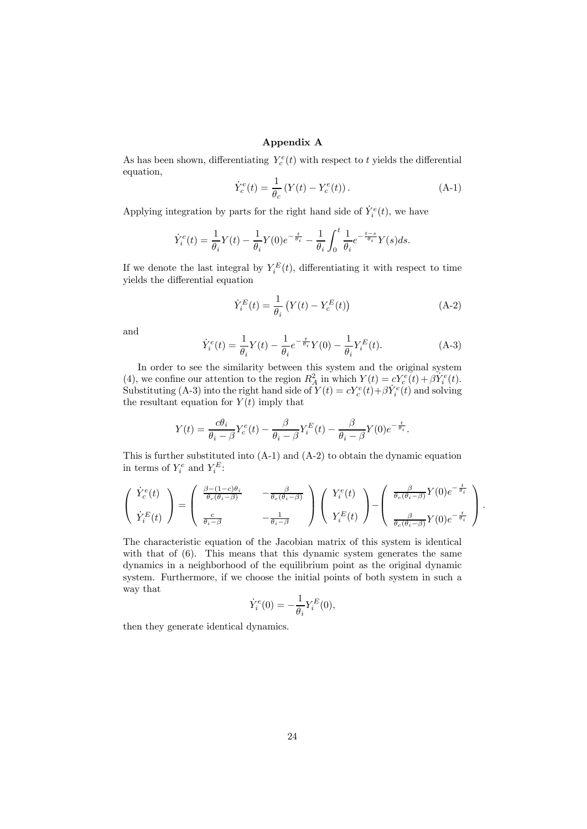### Appendix A

As has been shown, differentiating  $Y_c^e(t)$  with respect to t yields the differential equation,

$$
\dot{Y}_c^e(t) = \frac{1}{\theta_c} \left( Y(t) - Y_c^e(t) \right). \tag{A-1}
$$

Applying integration by parts for the right hand side of  $\dot{Y}_i^e(t)$ , we have

$$
\dot{Y}_i^e(t) = \frac{1}{\theta_i} Y(t) - \frac{1}{\theta_i} Y(0) e^{-\frac{t}{\theta_i}} - \frac{1}{\theta_i} \int_0^t \frac{1}{\theta_i} e^{-\frac{t-s}{\theta_i}} Y(s) ds.
$$

If we denote the last integral by  $Y_i^E(t)$ , differentiating it with respect to time yields the differential equation

$$
\dot{Y}_i^E(t) = \frac{1}{\theta_i} \left( Y(t) - Y_c^E(t) \right) \tag{A-2}
$$

and

$$
\dot{Y}_i^e(t) = \frac{1}{\theta_i} Y(t) - \frac{1}{\theta_i} e^{-\frac{t}{\theta_i}} Y(0) - \frac{1}{\theta_i} Y_i^E(t).
$$
\n(A-3)

In order to see the similarity between this system and the original system (4), we confine our attention to the region  $R_A^2$  in which  $Y(t) = cY_c^e(t) + \beta Y_i^e(t)$ . Substituting (A-3) into the right hand side of  $Y(t) = cY_c^e(t) + \beta \dot{Y}_i^e(t)$  and solving the resultant equation for  $Y(t)$  imply that

$$
Y(t) = \frac{c\theta_i}{\theta_i - \beta} Y_c^e(t) - \frac{\beta}{\theta_i - \beta} Y_i^E(t) - \frac{\beta}{\theta_i - \beta} Y(0) e^{-\frac{t}{\theta_i}}.
$$

This is further substituted into (A-1) and (A-2) to obtain the dynamic equation in terms of  $Y_i^e$  and  $Y_i^E$ :

$$
\begin{pmatrix}\n\dot{Y}_c^e(t) \\
\dot{Y}_i^E(t)\n\end{pmatrix} = \begin{pmatrix}\n\frac{\beta - (1 - c)\theta_i}{\theta_c(\theta_i - \beta)} & -\frac{\beta}{\theta_c(\theta_i - \beta)} \\
\frac{c}{\theta_i - \beta} & -\frac{1}{\theta_i - \beta}\n\end{pmatrix}\n\begin{pmatrix}\nY_i^e(t) \\
Y_i^E(t)\n\end{pmatrix} - \begin{pmatrix}\n\frac{\beta}{\theta_c(\theta_i - \beta)}Y(0)e^{-\frac{t}{\theta_i}} \\
\frac{\beta}{\theta_c(\theta_i - \beta)}Y(0)e^{-\frac{t}{\theta_i}}\n\end{pmatrix}.
$$

The characteristic equation of the Jacobian matrix of this system is identical with that of  $(6)$ . This means that this dynamic system generates the same dynamics in a neighborhood of the equilibrium point as the original dynamic system. Furthermore, if we choose the initial points of both system in such a way that

$$
\dot{Y}_i^e(0) = -\frac{1}{\theta_i} Y_i^E(0),
$$

then they generate identical dynamics.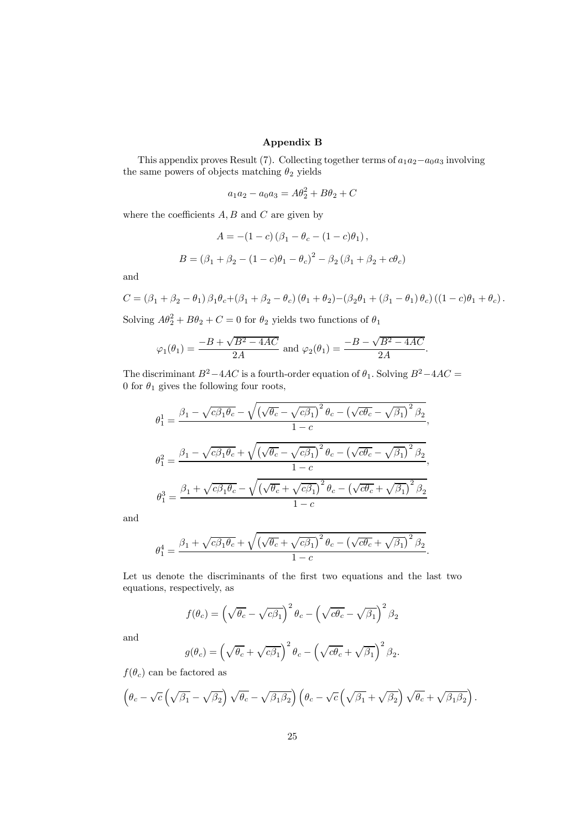### Appendix B

This appendix proves Result (7). Collecting together terms of  $a_1a_2-a_0a_3$  involving the same powers of objects matching  $\theta_2$  yields

$$
a_1 a_2 - a_0 a_3 = A\theta_2^2 + B\theta_2 + C
$$

where the coefficients  $A, B$  and  $C$  are given by

$$
A = -(1 - c) (\beta_1 - \theta_c - (1 - c)\theta_1),
$$
  

$$
B = (\beta_1 + \beta_2 - (1 - c)\theta_1 - \theta_c)^2 - \beta_2 (\beta_1 + \beta_2 + c\theta_c)
$$

and

$$
C = (\beta_1 + \beta_2 - \theta_1) \beta_1 \theta_c + (\beta_1 + \beta_2 - \theta_c) (\theta_1 + \theta_2) - (\beta_2 \theta_1 + (\beta_1 - \theta_1) \theta_c) ((1 - c)\theta_1 + \theta_c).
$$

Solving  $A\theta_2^2 + B\theta_2 + C = 0$  for  $\theta_2$  yields two functions of  $\theta_1$ 

$$
\varphi_1(\theta_1) = \frac{-B + \sqrt{B^2 - 4AC}}{2A}
$$
 and  $\varphi_2(\theta_1) = \frac{-B - \sqrt{B^2 - 4AC}}{2A}$ .

The discriminant  $B^2-4AC$  is a fourth-order equation of  $\theta_1$ . Solving  $B^2-4AC =$ 0 for  $\theta_1$  gives the following four roots,

$$
\theta_1^1 = \frac{\beta_1 - \sqrt{c\beta_1\theta_c} - \sqrt{(\sqrt{\theta_c} - \sqrt{c\beta_1})^2 \theta_c - (\sqrt{c\theta_c} - \sqrt{\beta_1})^2 \beta_2}}{1 - c},
$$
  

$$
\theta_1^2 = \frac{\beta_1 - \sqrt{c\beta_1\theta_c} + \sqrt{(\sqrt{\theta_c} - \sqrt{c\beta_1})^2 \theta_c - (\sqrt{c\theta_c} - \sqrt{\beta_1})^2 \beta_2}}{1 - c},
$$
  

$$
\theta_1^3 = \frac{\beta_1 + \sqrt{c\beta_1\theta_c} - \sqrt{(\sqrt{\theta_c} + \sqrt{c\beta_1})^2 \theta_c - (\sqrt{c\theta_c} + \sqrt{\beta_1})^2 \beta_2}}{1 - c}
$$

and

$$
\theta_1^4 = \frac{\beta_1 + \sqrt{c\beta_1\theta_c} + \sqrt{(\sqrt{\theta_c} + \sqrt{c\beta_1})^2 \theta_c - (\sqrt{c\theta_c} + \sqrt{\beta_1})^2 \beta_2}}{1 - c}.
$$

Let us denote the discriminants of the first two equations and the last two equations, respectively, as

$$
f(\theta_c) = \left(\sqrt{\theta_c} - \sqrt{c\beta_1}\right)^2 \theta_c - \left(\sqrt{c\theta_c} - \sqrt{\beta_1}\right)^2 \beta_2
$$

and

$$
g(\theta_c) = \left(\sqrt{\theta_c} + \sqrt{c\beta_1}\right)^2 \theta_c - \left(\sqrt{c\theta_c} + \sqrt{\beta_1}\right)^2 \beta_2.
$$

 $f(\theta_c)$  can be factored as

$$
\left(\theta_c-\sqrt{c}\left(\sqrt{\beta_1}-\sqrt{\beta_2}\right)\sqrt{\theta_c}-\sqrt{\beta_1\beta_2}\right)\left(\theta_c-\sqrt{c}\left(\sqrt{\beta_1}+\sqrt{\beta_2}\right)\sqrt{\theta_c}+\sqrt{\beta_1\beta_2}\right)
$$

.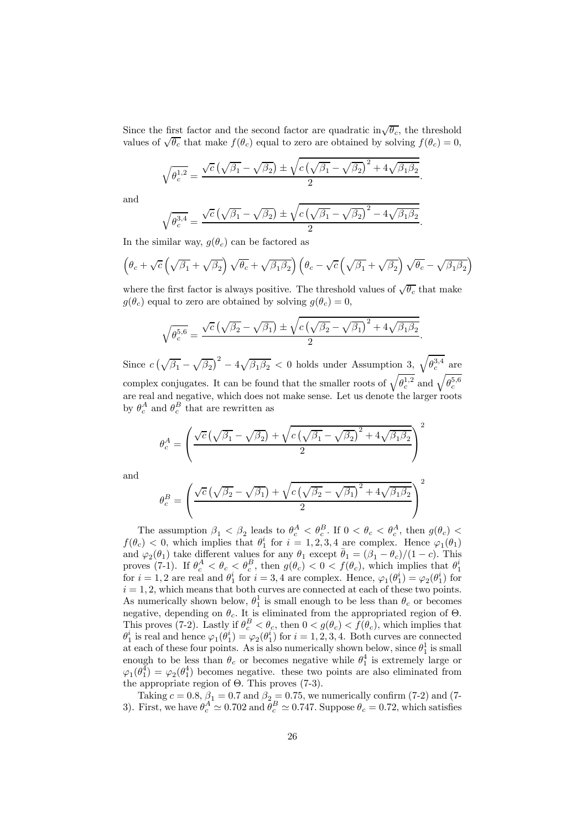Since the first factor and the second factor are quadratic in $\sqrt{\theta_c}$ , the threshold values of  $\sqrt{\theta_c}$  that make  $f(\theta_c)$  equal to zero are obtained by solving  $f(\theta_c)=0$ ,

$$
\sqrt{\theta_c^{1,2}} = \frac{\sqrt{c}\left(\sqrt{\beta_1} - \sqrt{\beta_2}\right) \pm \sqrt{c\left(\sqrt{\beta_1} - \sqrt{\beta_2}\right)^2 + 4\sqrt{\beta_1\beta_2}}}{2}.
$$

and

$$
\sqrt{\theta_c^{3,4}} = \frac{\sqrt{c}\left(\sqrt{\beta_1} - \sqrt{\beta_2}\right) \pm \sqrt{c\left(\sqrt{\beta_1} - \sqrt{\beta_2}\right)^2 - 4\sqrt{\beta_1\beta_2}}}{2}.
$$

In the similar way,  $g(\theta_c)$  can be factored as

$$
\left(\theta_c + \sqrt{c}\left(\sqrt{\beta_1} + \sqrt{\beta_2}\right)\sqrt{\theta_c} + \sqrt{\beta_1\beta_2}\right)\left(\theta_c - \sqrt{c}\left(\sqrt{\beta_1} + \sqrt{\beta_2}\right)\sqrt{\theta_c} - \sqrt{\beta_1\beta_2}\right)
$$

where the first factor is always positive. The threshold values of  $\sqrt{\theta_c}$  that make  $g(\theta_c)$  equal to zero are obtained by solving  $g(\theta_c)=0$ ,

$$
\sqrt{\theta_c^{5,6}} = \frac{\sqrt{c}\left(\sqrt{\beta_2} - \sqrt{\beta_1}\right) \pm \sqrt{c\left(\sqrt{\beta_2} - \sqrt{\beta_1}\right)^2 + 4\sqrt{\beta_1\beta_2}}}{2}.
$$

Since  $c(\sqrt{\beta_1} - \sqrt{\beta_2})^2 - 4\sqrt{\beta_1\beta_2} < 0$  holds under Assumption 3,  $\sqrt{\theta_c^{3,4}}$  are complex conjugates. It can be found that the smaller roots of  $\sqrt{\theta_c^{1,2}}$  and  $\sqrt{\theta_c^{5,6}}$ are real and negative, which does not make sense. Let us denote the larger roots by  $\theta_c^A$  and  $\theta_c^B$  that are rewritten as

$$
\theta_c^A = \left(\frac{\sqrt{c}\left(\sqrt{\beta_1} - \sqrt{\beta_2}\right) + \sqrt{c\left(\sqrt{\beta_1} - \sqrt{\beta_2}\right)^2 + 4\sqrt{\beta_1\beta_2}}}{2}\right)^2
$$

and

$$
\theta_c^B = \left(\frac{\sqrt{c}\left(\sqrt{\beta_2} - \sqrt{\beta_1}\right) + \sqrt{c\left(\sqrt{\beta_2} - \sqrt{\beta_1}\right)^2 + 4\sqrt{\beta_1\beta_2}}}{2}\right)^2
$$

The assumption  $\beta_1 < \beta_2$  leads to  $\theta_c^A < \theta_c^B$ . If  $0 < \theta_c < \theta_c^A$ , then  $g(\theta_c) <$  $f(\theta_c) < 0$ , which implies that  $\theta_1^i$  for  $i = 1, 2, 3, 4$  are complex. Hence  $\varphi_1(\theta_1)$ and  $\varphi_2(\theta_1)$  take different values for any  $\theta_1$  except  $\bar{\theta}_1 = (\beta_1 - \theta_c)/(1 - c)$ . This proves (7-1). If  $\theta_c^A < \theta_c < \theta_c^B$ , then  $g(\theta_c) < 0 < f(\theta_c)$ , which implies that  $\theta_1^i$ for  $i = 1, 2$  are real and  $\theta_1^i$  for  $i = 3, 4$  are complex. Hence,  $\varphi_1(\theta_1^i) = \varphi_2(\theta_1^i)$  for  $i = 1, 2$ , which means that both curves are connected at each of these two points. As numerically shown below,  $\theta_1^1$  is small enough to be less than  $\theta_c$  or becomes negative, depending on  $\theta_c$ . It is eliminated from the appropriated region of  $\Theta$ . This proves (7-2). Lastly if  $\theta_c^B < \theta_c$ , then  $0 < g(\theta_c) < f(\theta_c)$ , which implies that  $\theta_1^i$  is real and hence  $\varphi_1(\theta_1^i) = \varphi_2(\theta_1^i)$  for  $i = 1, 2, 3, 4$ . Both curves are connected at each of these four points. As is also numerically shown below, since  $\theta_1^1$  is small enough to be less than  $\theta_c$  or becomes negative while  $\theta_1^4$  is extremely large or  $\varphi_1(\theta_1^4) = \varphi_2(\theta_1^4)$  becomes negative. these two points are also eliminated from the appropriate region of Θ. This proves (7-3).

Taking  $c = 0.8$ ,  $\beta_1 = 0.7$  and  $\beta_2 = 0.75$ , we numerically confirm (7-2) and (7-3). First, we have  $\theta_c^A \simeq 0.702$  and  $\bar{\theta}_c^B \simeq 0.747$ . Suppose  $\theta_c = 0.72$ , which satisfies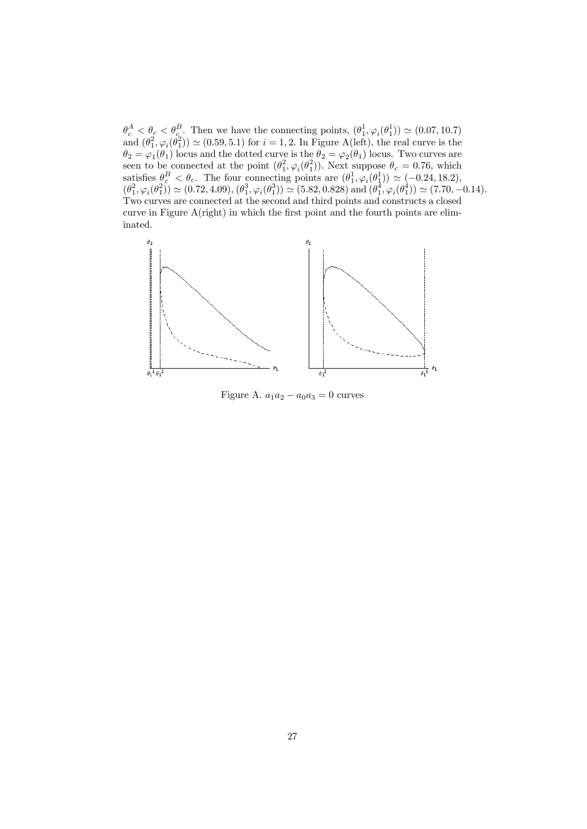$\theta_c^A < \theta_c < \theta_c^B$ . Then we have the connecting points,  $(\theta_1^1, \varphi_i(\theta_1^1)) \simeq (0.07, 10.7)$ and  $(\theta_1^2, \varphi_i(\theta_1^2)) \simeq (0.59, 5.1)$  for  $i = 1, 2$ . In Figure A(left), the real curve is the  $\theta_2 = \varphi_1(\theta_1)$  locus and the dotted curve is the  $\theta_2 = \varphi_2(\theta_1)$  locus. Two curves are seen to be connected at the point  $(\theta_1^2, \varphi_i(\theta_1^2))$ . Next suppose  $\theta_c = 0.76$ , which satisfies  $\theta_c^B < \theta_c$ . The four connecting points are  $(\theta_1^1, \varphi_i(\theta_1^1)) \simeq (-0.24, 18.2),$  $(\theta_1^2, \varphi_i(\theta_1^2)) \simeq (0.72, 4.09), (\theta_1^3, \varphi_i(\theta_1^3)) \simeq (5.82, 0.828) \text{ and } (\theta_1^4, \varphi_i(\theta_1^4)) \simeq (7.70, -0.14).$ Two curves are connected at the second and third points and constructs a closed curve in Figure A(right) in which the first point and the fourth points are eliminated.



Figure A.  $a_1a_2 - a_0a_3 = 0$  curves